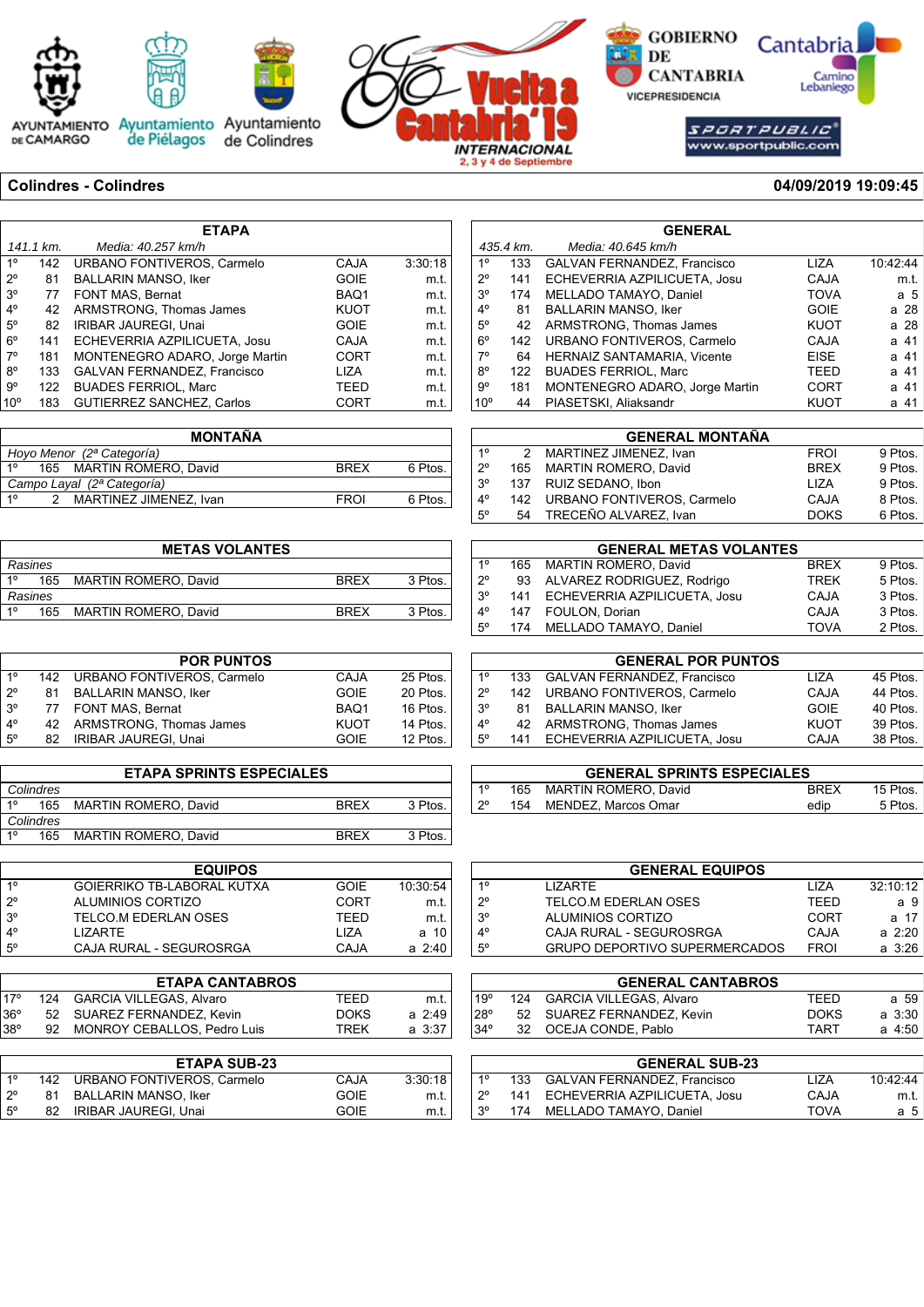





AYUNTAMIENTO Ayuntamiento Ayuntamiento<br>DE CAMARGO de Piélagos de Colindres



**S** GOBIERNO Cantabria  $\overline{\phantom{a}}$  DE Camino<br>Lebaniego **CANTABRIA VICEPRESIDENCIA** 

 $S\overline{PCHTPDBL1C}^{*}$ www.sportpublic.com

### **Colindres - Colindres 04/09/2019 19:09:45**

| <b>ETAPA</b>    |           |                                  |             |         |
|-----------------|-----------|----------------------------------|-------------|---------|
|                 | 141.1 km. | Media: 40.257 km/h               |             |         |
| $1^{\circ}$     | 142       | URBANO FONTIVEROS, Carmelo       | <b>CAJA</b> | 3:30:18 |
| $2^{\circ}$     | 81        | <b>BALLARIN MANSO, Iker</b>      | <b>GOIE</b> | m.t.    |
| 3 <sup>o</sup>  | 77        | FONT MAS, Bernat                 | BAQ1        | m.t.    |
| $4^{\circ}$     | 42        | ARMSTRONG, Thomas James          | KUOT        | m.t.    |
| $5^\circ$       | 82        | <b>IRIBAR JAUREGI, Unai</b>      | <b>GOIE</b> | m.t.    |
| $6^{\circ}$     | 141       | ECHEVERRIA AZPILICUETA, Josu     | <b>CAJA</b> | m.t.    |
| $7^\circ$       | 181       | MONTENEGRO ADARO, Jorge Martin   | <b>CORT</b> | m.t.    |
| $8^{\circ}$     | 133       | GALVAN FERNANDEZ, Francisco      | LIZA        | m.t.    |
| $9^{\circ}$     | 122       | <b>BUADES FERRIOL, Marc</b>      | TEED        | m.t.    |
| 10 <sup>o</sup> | 183       | <b>GUTIERREZ SANCHEZ, Carlos</b> | CORT        | m.t.    |

|                           |                            | <b>MONTAÑA</b>           |             |         |  |
|---------------------------|----------------------------|--------------------------|-------------|---------|--|
| Hoyo Menor (2ª Categoría) |                            |                          |             |         |  |
| 10                        |                            | 165 MARTIN ROMERO, David | <b>BRFX</b> | 6 Ptos. |  |
|                           | Campo Layal (2ª Categoría) |                          |             |         |  |
| 10                        |                            | MARTINEZ JIMENEZ, Ivan   | <b>FROI</b> | 6 Ptos. |  |

|         | <b>METAS VOLANTES</b> |                             |             |         |  |  |
|---------|-----------------------|-----------------------------|-------------|---------|--|--|
| Rasines |                       |                             |             |         |  |  |
| 10      | 165                   | <b>MARTIN ROMERO, David</b> | <b>BRFX</b> | 3 Ptos. |  |  |
| Rasines |                       |                             |             |         |  |  |
| 10      | 165                   | <b>MARTIN ROMERO, David</b> | <b>BRFX</b> | 3 Ptos. |  |  |

|             |     | <b>POR PUNTOS</b>              |             |          |
|-------------|-----|--------------------------------|-------------|----------|
| $1^{\circ}$ |     | 142 URBANO FONTIVEROS, Carmelo | CAJA        | 25 Ptos. |
| $2^{\circ}$ | 81  | <b>BALLARIN MANSO, Iker</b>    | <b>GOIE</b> | 20 Ptos. |
| $3^{\circ}$ |     | 77 FONT MAS, Bernat            | BAQ1        | 16 Ptos. |
| $4^\circ$   |     | 42 ARMSTRONG. Thomas James     | <b>KUOT</b> | 14 Ptos. |
| $5^{\circ}$ | 82. | <b>IRIBAR JAUREGI, Unai</b>    | <b>GOIE</b> | 12 Ptos. |

| <b>ETAPA SPRINTS ESPECIALES</b> |     |                             |             |         |  |
|---------------------------------|-----|-----------------------------|-------------|---------|--|
| Colindres                       |     |                             |             |         |  |
| 10                              | 165 | <b>MARTIN ROMERO, David</b> | <b>BRFX</b> | 3 Ptos. |  |
| Colindres                       |     |                             |             |         |  |
| 10                              | 165 | <b>MARTIN ROMERO, David</b> | <b>BRFX</b> | 3 Ptos. |  |

|             | <b>EQUIPOS</b>                    |             |             |
|-------------|-----------------------------------|-------------|-------------|
| 10          | <b>GOIERRIKO TB-LABORAL KUTXA</b> | <b>GOIE</b> | 10:30:54    |
| $2^{\circ}$ | ALUMINIOS CORTIZO                 | CORT        | m.t.        |
| $3^{\circ}$ | TELCO M EDERI AN OSES             | TFFD        | m.t.        |
| $4^{\circ}$ | I IZARTF                          | 1 IZA       | a 10        |
| 5°          | CAJA RURAL - SEGUROSRGA           | CAJA        | $a \; 2:40$ |

|      | <b>ETAPA CANTABROS</b>         |             |        |
|------|--------------------------------|-------------|--------|
| 170  | 124 GARCIA VILLEGAS, Alvaro    | TFFD        | m.t.   |
| 136° | 52 SUAREZ FERNANDEZ, Kevin     | <b>DOKS</b> | a 2:49 |
| 38°  | 92 MONROY CEBALLOS, Pedro Luis | <b>TREK</b> | a 3:37 |
|      |                                |             |        |

|             |     | <b>ETAPA SUB-23</b>         |      |         |
|-------------|-----|-----------------------------|------|---------|
| 10          | 142 | URBANO FONTIVEROS, Carmelo  | CAJA | 3:30:18 |
| $2^{\circ}$ | 81  | BALLARIN MANSO, Iker        | GOIE | m.t.    |
| $5^{\circ}$ | 82  | <b>IRIBAR JAUREGI, Unai</b> | GOIE | m.t.    |

|                 | <b>GENERAL</b> |                                    |             |          |  |  |
|-----------------|----------------|------------------------------------|-------------|----------|--|--|
|                 | 435.4 km.      | Media: 40.645 km/h                 |             |          |  |  |
| 1 <sup>0</sup>  | 133            | <b>GALVAN FERNANDEZ, Francisco</b> | LIZA        | 10:42:44 |  |  |
| $2^{\circ}$     | 141            | ECHEVERRIA AZPILICUETA, Josu       | <b>CAJA</b> | m.t.     |  |  |
| 3 <sup>o</sup>  | 174            | MELLADO TAMAYO, Daniel             | <b>TOVA</b> | a 5      |  |  |
| $4^{\circ}$     | 81             | <b>BALLARIN MANSO, Iker</b>        | <b>GOIE</b> | a 28     |  |  |
| $5^\circ$       | 42             | ARMSTRONG, Thomas James            | <b>KUOT</b> | a 28     |  |  |
| $6^{\circ}$     | 142            | URBANO FONTIVEROS, Carmelo         | <b>CAJA</b> | a 41     |  |  |
| $7^\circ$       | 64             | <b>HERNAIZ SANTAMARIA, Vicente</b> | <b>EISE</b> | a 41     |  |  |
| $8^{\circ}$     | 122            | <b>BUADES FERRIOL, Marc</b>        | TEED        | a 41     |  |  |
| 9°              | 181            | MONTENEGRO ADARO, Jorge Martin     | <b>CORT</b> | a 41     |  |  |
| 10 <sup>o</sup> | 44             | PIASETSKI, Aliaksandr              | <b>KUOT</b> | a 41     |  |  |

|             |     | <b>GENERAL MONTAÑA</b>         |             |         |
|-------------|-----|--------------------------------|-------------|---------|
| $1^{\circ}$ |     | 2 MARTINEZ JIMENEZ, Ivan       | <b>FROI</b> | 9 Ptos. |
| $2^{\circ}$ |     | 165 MARTIN ROMERO, David       | <b>BREX</b> | 9 Ptos. |
| $3^{\circ}$ | 137 | RUIZ SEDANO, Ibon              | LIZA        | 9 Ptos. |
| $4^{\circ}$ |     | 142 URBANO FONTIVEROS, Carmelo | CAJA        | 8 Ptos. |
| $5^\circ$   | 54  | TRECEÑO ALVAREZ. Ivan          | <b>DOKS</b> | 6 Ptos. |
|             |     |                                |             |         |

| <b>GENERAL METAS VOLANTES</b> |     |                                  |             |         |  |
|-------------------------------|-----|----------------------------------|-------------|---------|--|
| $1^{\circ}$                   |     | 165 MARTIN ROMERO, David         | <b>BREX</b> | 9 Ptos. |  |
| $2^{\circ}$                   |     | 93 ALVAREZ RODRIGUEZ, Rodrigo    | <b>TREK</b> | 5 Ptos. |  |
| $3^{\circ}$                   |     | 141 ECHEVERRIA AZPILICUETA, Josu | CAJA        | 3 Ptos. |  |
| $4^{\circ}$                   | 147 | FOULON, Dorian                   | CAJA        | 3 Ptos. |  |
| $5^{\circ}$                   |     | 174 MELLADO TAMAYO, Daniel       | <b>TOVA</b> | 2 Ptos. |  |

|             |     | <b>GENERAL POR PUNTOS</b>          |             |          |
|-------------|-----|------------------------------------|-------------|----------|
| 10          | 133 | <b>GALVAN FERNANDEZ, Francisco</b> | <b>LIZA</b> | 45 Ptos. |
| $2^{\circ}$ |     | 142 URBANO FONTIVEROS, Carmelo     | CAJA        | 44 Ptos. |
| $3^\circ$   | 81. | <b>BALLARIN MANSO, Iker</b>        | <b>GOIE</b> | 40 Ptos. |
| $4^{\circ}$ |     | 42 ARMSTRONG, Thomas James         | <b>KUOT</b> | 39 Ptos. |
| $5^{\circ}$ |     | 141 ECHEVERRIA AZPILICUETA, Josu   | CAJA        | 38 Ptos. |

| <b>GENERAL SPRINTS ESPECIALES</b> |  |                          |             |          |  |  |
|-----------------------------------|--|--------------------------|-------------|----------|--|--|
| $1^{\circ}$                       |  | 165 MARTIN ROMERO, David | <b>BREX</b> | 15 Ptos. |  |  |
| $2^{\circ}$                       |  | 154 MENDEZ, Marcos Omar  | edip        | 5 Ptos.  |  |  |

| <b>GENERAL EQUIPOS</b> |                               |             |            |  |  |  |  |
|------------------------|-------------------------------|-------------|------------|--|--|--|--|
| $1^{\circ}$            | I IZARTF                      | 1 I 7 A     | 32:10:12   |  |  |  |  |
| $2^{\circ}$            | TELCO M EDERLAN OSES          | TFFD        | а9         |  |  |  |  |
| $3^{\circ}$            | ALUMINIOS CORTIZO             | CORT        | a 17       |  |  |  |  |
| $4^{\circ}$            | CAJA RURAL - SEGUROSRGA       | CAJA        | $a \ 2:20$ |  |  |  |  |
| $5^{\circ}$            | GRUPO DEPORTIVO SUPERMERCADOS | <b>FROI</b> | a 3:26     |  |  |  |  |
|                        |                               |             |            |  |  |  |  |

|                | <b>GENERAL CANTABROS</b> |                                    |             |             |  |  |  |
|----------------|--------------------------|------------------------------------|-------------|-------------|--|--|--|
| 19°            | 124                      | <b>GARCIA VILLEGAS, Alvaro</b>     | TEED        | a 59        |  |  |  |
| $28^{\circ}$   | 52                       | SUAREZ FERNANDEZ, Kevin            | <b>DOKS</b> | $a \, 3:30$ |  |  |  |
| $34^\circ$     | 32                       | OCEJA CONDE, Pablo                 | <b>TART</b> | a 4:50      |  |  |  |
|                |                          |                                    |             |             |  |  |  |
|                |                          | <b>GENERAL SUB-23</b>              |             |             |  |  |  |
| 1 <sup>0</sup> | 133                      | <b>GALVAN FERNANDEZ, Francisco</b> | <b>LIZA</b> | 10:42:44    |  |  |  |
| $2^{\circ}$    | 141                      | ECHEVERRIA AZPILICUETA, Josu       | CAJA        | m.t.        |  |  |  |
| 3 <sup>o</sup> | 174                      | MELLADO TAMAYO, Daniel             | <b>TOVA</b> | a 5         |  |  |  |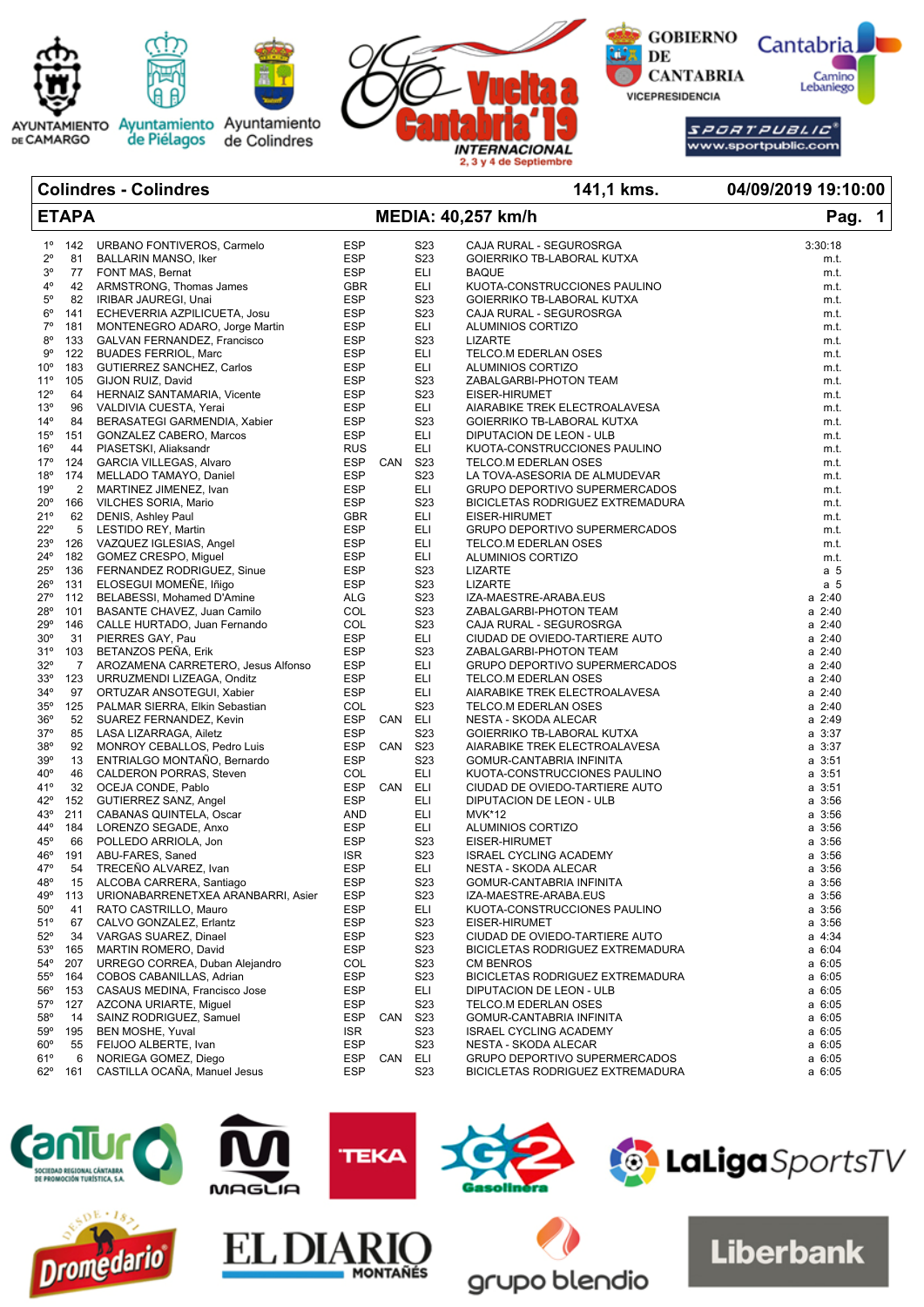

### **Colindres - Colindres 141,1 kms. 04/09/2019 19:10:00 ETAPA MEDIA: 40,257 km/h Pag. 1** 1º 142 URBANO FONTIVEROS, Carmelo ESP S23 CAJA RURAL - SEGUROSRGA 3:30:18 2º 81 BALLARIN MANSO, Iker ESP S23 GOIERRIKO TB-LABORAL KUTXA m.t. 3º 77 FONT MAS, Bernat ESP ELI BAQUE m.t. 4º 42 ARMSTRONG, Thomas James GBR ELI KUOTA-CONSTRUCCIONES PAULINO<br>5º 82 IRIBAR JAUREGI, Unai Geretic Mercuis ESP S23 GOIERRIKO TB-LABORAL KUTXA ESP S23 GOIERRIKO TB-LABORAL KUTXA m.t. 6º 141 ECHEVERRIA AZPILICUETA, Josu ESP S23 CAJA RURAL - SEGUROSRGA m.t. 7º 181 MONTENEGRO ADARO, Jorge Martin ESP ELI ALUMINIOS CORTIZO m.t. 8º 133 GALVAN FERNANDEZ, Francisco ESP S23 LIZARTE m.t. 9º 122 BUADES FERRIOL, Marc ESP ELI TELCO.M EDERLAN OSES m.t. 10º 183 GUTIERREZ SANCHEZ, Carlos ESP ELI ALUMINIOS CORTIZO m.t. 11º 105 GIJON RUIZ, David ESP S23 ZABALGARBI-PHOTON TEAM m.t. 12º 64 HERNAIZ SANTAMARIA, Vicente ESP S23 EISER-HIRUMET m.t. 13º 96 VALDIVIA CUESTA, Yerai ESP ELI AIARABIKE TREK ELECTROALAVESA m.t. 14º 84 BERASATEGI GARMENDIA, Xabier ESP S23 GOIERRIKO TB-LABORAL KUTXA m.t. 15º 151 GONZALEZ CABERO, Marcos ESP ELI DIPUTACION DE LEON - ULB m.t. KUOTA-CONSTRUCCIONES PAULINO m.t. 17º 124 GARCIA VILLEGAS, Alvaro ESP CAN S23 TELCO.M EDERLAN OSES m.t. 18º 174 MELLADO TAMAYO, Daniel ESP S23 LA TOVA-ASESORIA DE ALMUDEVAR m.t. 19º 2 MARTINEZ JIMENEZ, Ivan ESP ELI GRUPO DEPORTIVO SUPERMERCADOS m.t. 20º 166 VILCHES SORIA, Mario ESP S23 BICICLETAS RODRIGUEZ EXTREMADURA m.t. 62 DENIS, Ashley Paul **CBR** ELI EISER-HIRUMET **GBR** entertainment of the matter of the matter of the matter of the matter of the matter of the matter of the matter of the matter of the matter of the matter of the matter of 22º 5 LESTIDO REY, Martin **ESP** ELI GRUPO DEPORTIVO SUPERMERCADOS m.t. 23º 126 VAZQUEZ IGLESIAS, Angel ESP ELI TELCO.M EDERLAN OSES m.t. 182 GOMEZ CRESPO, Miquel **ESP ELI ALUMINIOS CORTIZO ELI ALUMINIOS CORTIZO** m.t. 25º 136 FERNANDEZ RODRIGUEZ, Sinue ESP S23 LIZARTE a 5 26º 131 ELOSEGUI MOMEÑE, Iñigo<br>27º 112 BELABESSI, Mohamed D'Ar 27º 112 BELABESSI, Mohamed D'Amine ALG S23 IZA-MAESTRE-ARABA.EUS a 2:40 28º 101 BASANTE CHAVEZ, Juan Camilo COL S23 ZABALGARBI-PHOTON TEAM a 2:40 29º 146 CALLE HURTADO, Juan Fernando COL S23 CAJA RURAL - SEGUROSRGA a 2:40 30º 31 PIERRES GAY, Pau ESP ELI CIUDAD DE OVIEDO-TARTIERE AUTO a 2:40 31º 103 BETANZOS PEÑA, Erik ESP S23 ZABALGARBI-PHOTON TEAM a 2:40 32º 7 AROZAMENA CARRETERO, Jesus Alfonso ESP ELI GRUPO DEPORTIVO SUPERMERCADOS a 2:40<br>33º 123 URRUZMENDI LIZEAGA, Onditz ESP ELI TELCO.M EDERLAN OSES 33º 123 URRUZMENDI LIZEAGA, Onditz ESP ELI TELCO.M EDERLAN OSES a 2:40 34º 97 ORTUZAR ANSOTEGUI, Xabier ESP ELI AIARABIKE TREK ELECTROALAVESA a 2:40 PALMAR SIERRA, Elkin Sebastian 36º 52 SUAREZ FERNANDEZ, Kevin ESP CAN ELI NESTA - SKODA ALECAR a 2:49 37º 85 LASA LIZARRAGA, Ailetz ESP S23 GOIERRIKO TB-LABORAL KUTXA a 3:37 38º 92 MONROY CEBALLOS, Pedro Luis ESP CAN S23 AIARABIKE TREK ELECTROALAVESA a 3:37 39º 13 ENTRIALGO MONTAÑO, Bernardo ESP S23 GOMUR-CANTABRIA INFINITA a 3:51 40º 46 CALDERON PORRAS, Steven COL ELI KUOTA-CONSTRUCCIONES PAULINO a 3:51 CIUDAD DE OVIEDO-TARTIERE AUTO 42º 152 GUTIERREZ SANZ, Angel ESP ELI DIPUTACION DE LEON - ULB a 3:56 43º 211 CABANAS QUINTELA, Oscar AND ELI MVK\*12 a 3:56 44° 184 LORENZO SEGADE, Anxo<br>45° 66 POLLEDO ARRIOLA, Jon  $\begin{array}{cccccccccc} 45^{\mathrm{o}} & 66 & \text{POLLEDO ARRIOLA}, \text{Jon} & & & \text{ESP} & & \text{S23} & \text{EISER-HIRUMET} & & & \text{ABU-FARES}, \text{Saned} & & & & \text{ISR} & & \text{S23} & \text{ISRAEL CYCLING ACADEMY} & & & \text{ASI} & & \text{S3:56} \end{array}$ 46º 191 ABU-FARES, Saned ISR S23 ISRAEL CYCLING ACADEMY a 3:56 47º 54 TRECEÑO ALVAREZ, Ivan ESP ELI NESTA - SKODA ALECAR a 3:56 48º 15 ALCOBA CARRERA, Santiago ESP S23 GOMUR-CANTABRIA INFINITA a 3:56 49º 113 URIONABARRENETXEA ARANBARRI, Asier ESP S23 IZA-MAESTRE-ARABA.EUS a 3:56 50º 41 RATO CASTRILLO, Mauro ESP ELI KUOTA-CONSTRUCCIONES PAULINO a 3:56 51º 67 CALVO GONZALEZ, Erlantz ESP S23 EISER-HIRUMET a 3:56 52º 34 VARGAS SUAREZ, Dinael ESP S23 CIUDAD DE OVIEDO-TARTIERE AUTO a 4:34 53º 165 MARTIN ROMERO, David ESP S23 BICICLETAS RODRIGUEZ EXTREMADURA a 6:04 54º 207 URREGO CORREA, Duban Alejandro COL S23 CM BENROS a 6:05 164 COBOS CABANILLAS, Adrian **ESP** S23 BICICLETAS RODRIGUEZ EXTREMADURA 56º 153 CASAUS MEDINA, Francisco Jose ESP ELI DIPUTACION DE LEON - ULB a 6:05 57º 127 AZCONA URIARTE, Miguel ESP S23 TELCO.M EDERLAN OSES a 6:05 58º 14 SAINZ RODRIGUEZ, Samuel ESP CAN S23 GOMUR-CANTABRIA INFINITA a 6:05 59º 195 BEN MOSHE, Yuval ISR S23 ISRAEL CYCLING ACADEMY a 6:05 60º 55 FEIJOO ALBERTE, Ivan **ESP** S23 NESTA - SKODA ALECAR 61º 6 NORIEGA GOMEZ, Diego ESP CAN ELI GRUPO DEPORTIVO SUPERMERCADOS a 6:05 62º 161 CASTILLA OCAÑA, Manuel Jesus ESP S23 BICICLETAS RODRIGUEZ EXTREMADURA a 6:05

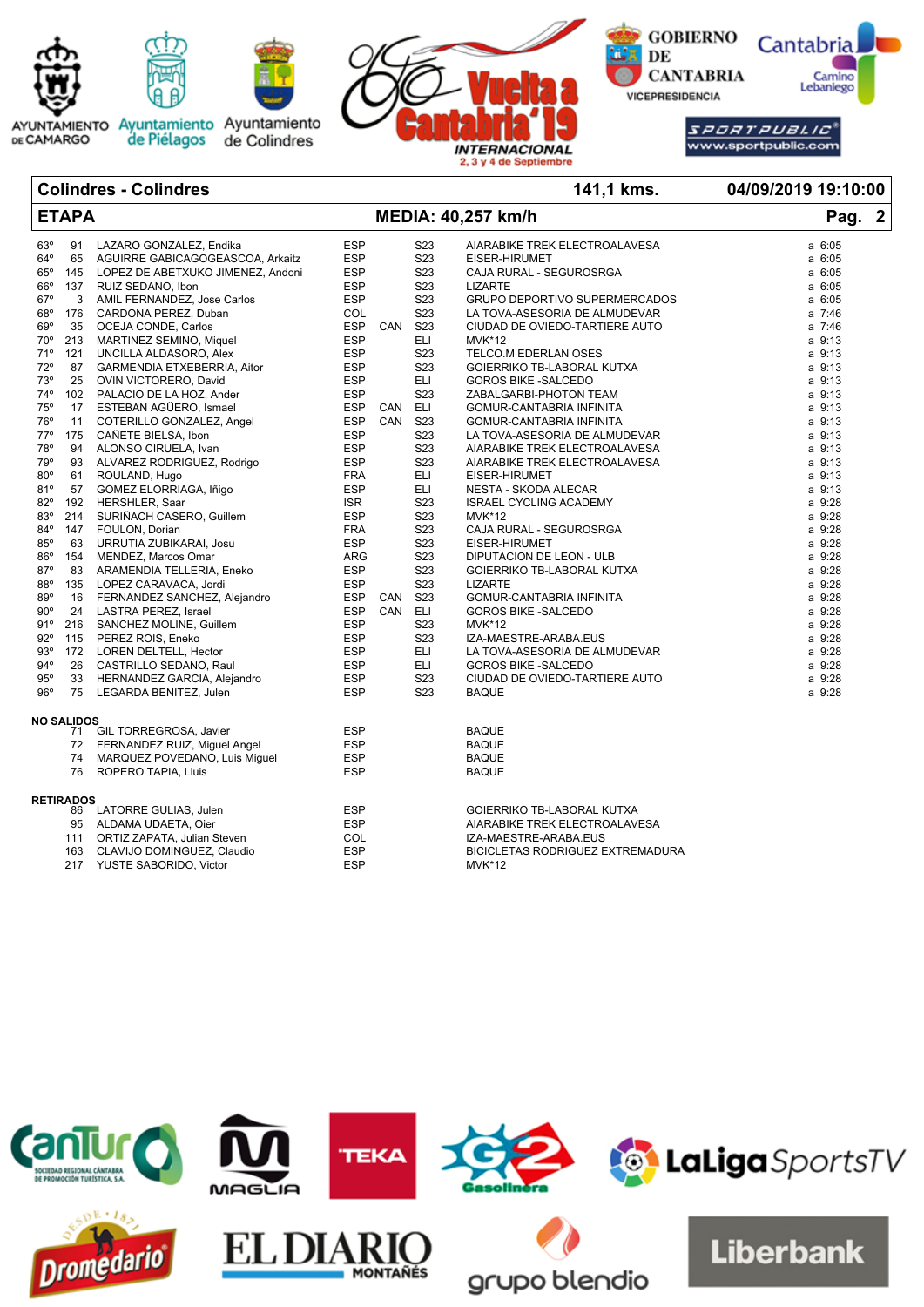



AYUNTAMIENTO Ayuntamiento Ayuntamiento<br>DE CAMARGO de Piélagos de Colindres



**GOBIERNO Cantabria** DE Camino<br>Lebaniego **CANTABRIA VICEPRESIDENCIA** 

> SPORT PUBLIC www.sportpublic.com

**Colindres - Colindres 141,1 kms. 04/09/2019 19:10:00 ETAPA MEDIA: 40,257 km/h Pag. 2**

| 63°          | 91                | LAZARO GONZALEZ, Endika           | <b>ESP</b> |     | S23              | AIARABIKE TREK ELECTROALAVESA    | a 6:05      |
|--------------|-------------------|-----------------------------------|------------|-----|------------------|----------------------------------|-------------|
| $64^{\circ}$ | 65                | AGUIRRE GABICAGOGEASCOA, Arkaitz  | <b>ESP</b> |     | S <sub>23</sub>  | EISER-HIRUMET                    | $a$ 6:05    |
| $65^{\circ}$ | 145               | LOPEZ DE ABETXUKO JIMENEZ, Andoni | <b>ESP</b> |     | S <sub>23</sub>  | CAJA RURAL - SEGUROSRGA          | a 6:05      |
| $66^\circ$   | 137               | RUIZ SEDANO. Ibon                 | <b>ESP</b> |     | S <sub>2</sub> 3 | <b>LIZARTE</b>                   | $a$ 6:05    |
| $67^\circ$   | 3                 | AMIL FERNANDEZ, Jose Carlos       | <b>ESP</b> |     | S <sub>23</sub>  | GRUPO DEPORTIVO SUPERMERCADOS    | a 6:05      |
| 68°          | 176               | CARDONA PEREZ, Duban              | <b>COL</b> |     | S <sub>23</sub>  | LA TOVA-ASESORIA DE ALMUDEVAR    | a 7:46      |
| $69^\circ$   | 35                | OCEJA CONDE, Carlos               | <b>ESP</b> | CAN | S <sub>23</sub>  | CIUDAD DE OVIEDO-TARTIERE AUTO   | a 7:46      |
| $70^{\circ}$ | 213               | MARTINEZ SEMINO, Miquel           | <b>ESP</b> |     | <b>ELI</b>       | <b>MVK*12</b>                    | $a \, 9:13$ |
| 71°          | 121               | UNCILLA ALDASORO, Alex            | <b>ESP</b> |     | S <sub>2</sub> 3 | TELCO.M EDERLAN OSES             | a 9:13      |
| 72°          | 87                | GARMENDIA ETXEBERRIA, Aitor       | <b>ESP</b> |     | S <sub>23</sub>  | GOIERRIKO TB-LABORAL KUTXA       | $a \, 9:13$ |
| 73°          | 25                | OVIN VICTORERO, David             | <b>ESP</b> |     | <b>ELI</b>       | <b>GOROS BIKE -SALCEDO</b>       | a 9:13      |
| $74^{\circ}$ | 102               | PALACIO DE LA HOZ, Ander          | <b>ESP</b> |     | S <sub>23</sub>  | ZABALGARBI-PHOTON TEAM           | a 9:13      |
| 75°          | 17                | ESTEBAN AGÜERO, Ismael            | <b>ESP</b> | CAN | ELI              | GOMUR-CANTABRIA INFINITA         | a 9:13      |
| 76°          | 11                | COTERILLO GONZALEZ, Angel         | <b>ESP</b> | CAN | S <sub>23</sub>  | GOMUR-CANTABRIA INFINITA         | a 9:13      |
|              |                   |                                   |            |     | S <sub>23</sub>  |                                  |             |
| $77^{\circ}$ | 175               | CAÑETE BIELSA, Ibon               | <b>ESP</b> |     |                  | LA TOVA-ASESORIA DE ALMUDEVAR    | a 9:13      |
| 78°          | 94                | ALONSO CIRUELA, Ivan              | <b>ESP</b> |     | S23              | AIARABIKE TREK ELECTROALAVESA    | a 9:13      |
| 79°          | 93                | ALVAREZ RODRIGUEZ, Rodrigo        | <b>ESP</b> |     | S <sub>23</sub>  | AIARABIKE TREK ELECTROALAVESA    | a 9:13      |
| $80^\circ$   | 61                | ROULAND, Hugo                     | <b>FRA</b> |     | <b>ELI</b>       | EISER-HIRUMET                    | $a \, 9:13$ |
| 81°          | 57                | GOMEZ ELORRIAGA, Iñigo            | <b>ESP</b> |     | <b>ELI</b>       | <b>NESTA - SKODA ALECAR</b>      | $a \, 9:13$ |
| $82^\circ$   | 192               | HERSHLER, Saar                    | <b>ISR</b> |     | S <sub>23</sub>  | <b>ISRAEL CYCLING ACADEMY</b>    | a 9:28      |
| 83°          | 214               | SURIÑACH CASERO, Guillem          | <b>ESP</b> |     | S <sub>23</sub>  | <b>MVK*12</b>                    | a 9:28      |
| 84°          | 147               | FOULON, Dorian                    | <b>FRA</b> |     | S <sub>23</sub>  | CAJA RURAL - SEGUROSRGA          | a 9:28      |
| 85°          | 63                | URRUTIA ZUBIKARAI, Josu           | <b>ESP</b> |     | S <sub>23</sub>  | EISER-HIRUMET                    | a 9:28      |
| 86°          | 154               | MENDEZ, Marcos Omar               | <b>ARG</b> |     | S <sub>23</sub>  | DIPUTACION DE LEON - ULB         | a 9:28      |
| $87^\circ$   | 83                | ARAMENDIA TELLERIA, Eneko         | <b>ESP</b> |     | S <sub>23</sub>  | GOIERRIKO TB-LABORAL KUTXA       | a 9:28      |
| 88°          | 135               | LOPEZ CARAVACA, Jordi             | <b>ESP</b> |     | S <sub>23</sub>  | <b>LIZARTE</b>                   | a 9:28      |
| 89°          | 16                | FERNANDEZ SANCHEZ, Alejandro      | <b>ESP</b> | CAN | S <sub>23</sub>  | GOMUR-CANTABRIA INFINITA         | a 9:28      |
| $90^\circ$   | 24                | LASTRA PEREZ, Israel              | <b>ESP</b> | CAN | ELI.             | <b>GOROS BIKE -SALCEDO</b>       | a 9:28      |
| 91°          | 216               | SANCHEZ MOLINE, Guillem           | <b>ESP</b> |     | S <sub>23</sub>  | <b>MVK*12</b>                    | a 9:28      |
| $92^\circ$   | 115               | PEREZ ROIS, Eneko                 | <b>ESP</b> |     | S <sub>23</sub>  | IZA-MAESTRE-ARABA.EUS            | a 9:28      |
| 93°          | 172               | LOREN DELTELL, Hector             | <b>ESP</b> |     | <b>ELI</b>       | LA TOVA-ASESORIA DE ALMUDEVAR    | a 9:28      |
| $94^{\circ}$ | 26                | CASTRILLO SEDANO, Raul            | <b>ESP</b> |     | ELI.             | <b>GOROS BIKE -SALCEDO</b>       | a 9:28      |
| 95°          | 33                | HERNANDEZ GARCIA, Alejandro       | <b>ESP</b> |     | S <sub>2</sub> 3 | CIUDAD DE OVIEDO-TARTIERE AUTO   | a 9:28      |
| 96°          | 75                | LEGARDA BENITEZ, Julen            | <b>ESP</b> |     | S <sub>23</sub>  | <b>BAQUE</b>                     | a 9:28      |
|              |                   |                                   |            |     |                  |                                  |             |
|              | <b>NO SALIDOS</b> |                                   |            |     |                  |                                  |             |
|              |                   | 71 GIL TORREGROSA, Javier         | <b>ESP</b> |     |                  | <b>BAQUE</b>                     |             |
|              |                   | 72 FERNANDEZ RUIZ, Miguel Angel   | <b>ESP</b> |     |                  | <b>BAQUE</b>                     |             |
|              | 74                | MARQUEZ POVEDANO, Luis Miguel     | <b>ESP</b> |     |                  | <b>BAQUE</b>                     |             |
|              | 76                | ROPERO TAPIA, Lluis               | <b>ESP</b> |     |                  | <b>BAQUE</b>                     |             |
|              |                   |                                   |            |     |                  |                                  |             |
|              | <b>RETIRADOS</b>  |                                   |            |     |                  |                                  |             |
|              | 86                | LATORRE GULIAS, Julen             | <b>ESP</b> |     |                  | GOIERRIKO TB-LABORAL KUTXA       |             |
|              |                   | 95 ALDAMA UDAETA, Oier            | <b>ESP</b> |     |                  | AIARABIKE TREK ELECTROALAVESA    |             |
|              | 111               | ORTIZ ZAPATA, Julian Steven       | COL        |     |                  | IZA-MAESTRE-ARABA.EUS            |             |
|              | 163               | CLAVIJO DOMINGUEZ, Claudio        | <b>ESP</b> |     |                  | BICICLETAS RODRIGUEZ EXTREMADURA |             |
|              | 217               | YUSTE SABORIDO, Victor            | <b>ESP</b> |     |                  | <b>MVK*12</b>                    |             |
|              |                   |                                   |            |     |                  |                                  |             |

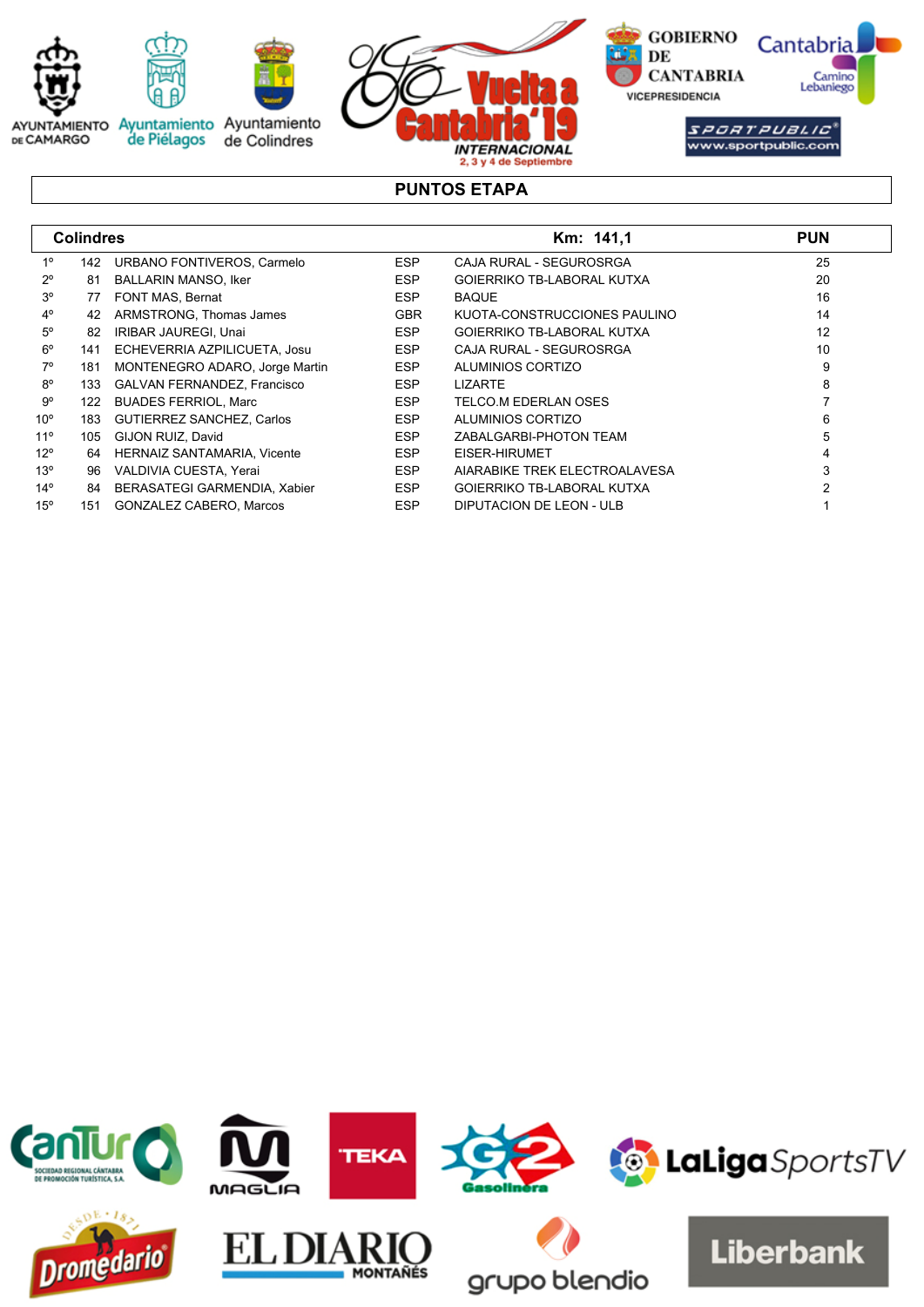

# **PUNTOS ETAPA**

|              | <b>Colindres</b> |                                     |            | Km: 141,1                         | <b>PUN</b> |
|--------------|------------------|-------------------------------------|------------|-----------------------------------|------------|
| $1^{\circ}$  | 142              | URBANO FONTIVEROS, Carmelo          | <b>ESP</b> | CAJA RURAL - SEGUROSRGA           | 25         |
| $2^{\circ}$  | 81               | <b>BALLARIN MANSO, Iker</b>         | <b>ESP</b> | <b>GOIERRIKO TB-LABORAL KUTXA</b> | 20         |
| $3^{\circ}$  | 77               | FONT MAS, Bernat                    | <b>ESP</b> | <b>BAQUE</b>                      | 16         |
| $4^{\circ}$  | 42               | ARMSTRONG, Thomas James             | <b>GBR</b> | KUOTA-CONSTRUCCIONES PAULINO      | 14         |
| $5^{\circ}$  | 82               | IRIBAR JAUREGI, Unai                | <b>ESP</b> | <b>GOIERRIKO TB-LABORAL KUTXA</b> | 12         |
| $6^{\circ}$  | 141              | ECHEVERRIA AZPILICUETA, Josu        | <b>ESP</b> | CAJA RURAL - SEGUROSRGA           | 10         |
| $7^\circ$    | 181              | MONTENEGRO ADARO, Jorge Martin      | <b>ESP</b> | ALUMINIOS CORTIZO                 | 9          |
| $8^{\circ}$  | 133              | <b>GALVAN FERNANDEZ, Francisco</b>  | <b>ESP</b> | <b>LIZARTE</b>                    | 8          |
| 9°           | 122              | <b>BUADES FERRIOL, Marc</b>         | <b>ESP</b> | TELCO.M EDERLAN OSES              |            |
| $10^{\circ}$ | 183              | <b>GUTIERREZ SANCHEZ, Carlos</b>    | <b>ESP</b> | ALUMINIOS CORTIZO                 | 6          |
| $11^{\circ}$ | 105              | GIJON RUIZ, David                   | <b>ESP</b> | ZABALGARBI-PHOTON TEAM            | 5          |
| $12^{\circ}$ | 64               | <b>HERNAIZ SANTAMARIA, Vicente</b>  | <b>ESP</b> | EISER-HIRUMET                     |            |
| 13°          | 96               | VALDIVIA CUESTA, Yerai              | <b>ESP</b> | AIARABIKE TREK ELECTROALAVESA     | 3          |
| $14^{\circ}$ | 84               | <b>BERASATEGI GARMENDIA, Xabier</b> | <b>ESP</b> | <b>GOIERRIKO TB-LABORAL KUTXA</b> |            |
| $15^{\circ}$ | 151              | <b>GONZALEZ CABERO, Marcos</b>      | <b>ESP</b> | DIPUTACION DE LEON - ULB          |            |

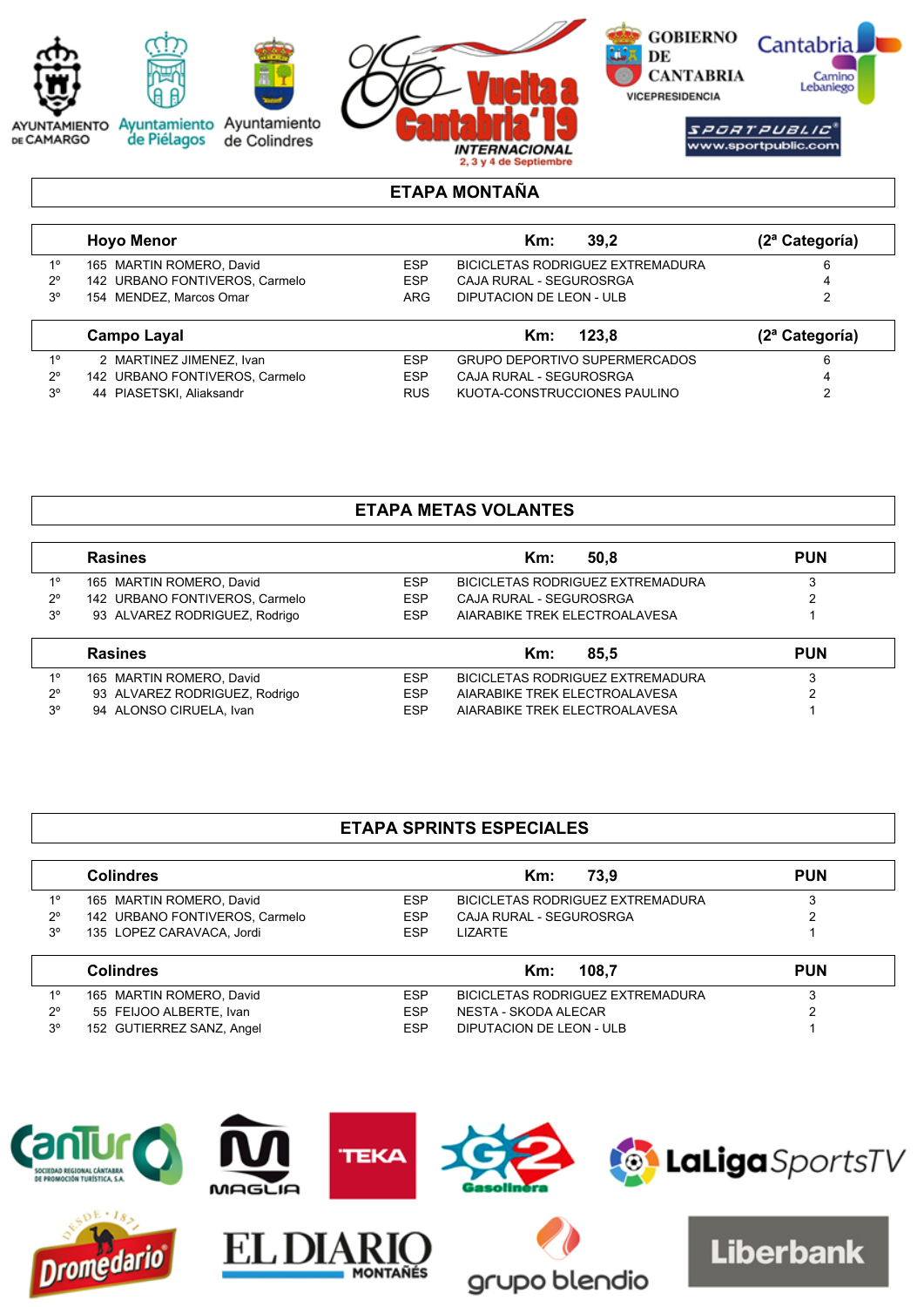

## **ETAPA MONTAÑA**

|             | <b>Hovo Menor</b>              |            | 39.2<br>Km:                      | (2 <sup>a</sup> Categorical) |
|-------------|--------------------------------|------------|----------------------------------|------------------------------|
| 10          | 165 MARTIN ROMERO, David       | ESP        | BICICLETAS RODRIGUEZ EXTREMADURA |                              |
| $2^{\circ}$ | 142 URBANO FONTIVEROS, Carmelo | <b>ESP</b> | CAJA RURAL - SEGUROSRGA          | 4                            |
| $3^{\circ}$ | 154 MENDEZ, Marcos Omar        | <b>ARG</b> | DIPUTACION DE LEON - ULB         |                              |
|             | Campo Layal                    |            | 123.8<br>Km:                     | (2 <sup>a</sup> Categorical) |

| -10 | 2 MARTINEZ JIMENEZ, Ivan       | FSP        | GRUPO DEPORTIVO SUPERMERCADOS |  |
|-----|--------------------------------|------------|-------------------------------|--|
| 20  | 142 URBANO FONTIVEROS, Carmelo | FSP        | CAJA RURAL - SEGUROSRGA       |  |
| 30. | 44 PIASETSKI, Aliaksandr       | <b>RUS</b> | KUOTA-CONSTRUCCIONES PAULINO  |  |

# **ETAPA METAS VOLANTES**

|             | <b>Rasines</b>                 |            | 50.8<br>Km:                             | <b>PUN</b> |
|-------------|--------------------------------|------------|-----------------------------------------|------------|
| $1^{\circ}$ | 165 MARTIN ROMERO, David       | <b>ESP</b> | <b>BICICLETAS RODRIGUEZ EXTREMADURA</b> |            |
| $2^{\circ}$ | 142 URBANO FONTIVEROS, Carmelo | <b>ESP</b> | CAJA RURAL - SEGUROSRGA                 |            |
| $3^{\circ}$ | 93 ALVAREZ RODRIGUEZ, Rodrigo  | <b>ESP</b> | AIARABIKE TREK ELECTROALAVESA           |            |
|             | <b>Rasines</b>                 |            | 85.5<br>$Km$ :                          | <b>PUN</b> |
| $1^{\circ}$ | 165 MARTIN ROMERO, David       | <b>ESP</b> | <b>BICICLETAS RODRIGUEZ EXTREMADURA</b> |            |
| $2^{\circ}$ | 93 ALVAREZ RODRIGUEZ, Rodrigo  | <b>ESP</b> | AIARABIKE TREK ELECTROALAVESA           |            |
| $3^{\circ}$ | 94 ALONSO CIRUELA, Ivan        | <b>ESP</b> | AIARABIKE TREK ELECTROALAVESA           |            |

# **ETAPA SPRINTS ESPECIALES**

|                | <b>Colindres</b>               |            | 73.9<br>Km:                      | <b>PUN</b> |
|----------------|--------------------------------|------------|----------------------------------|------------|
| $1^{\circ}$    | 165 MARTIN ROMERO, David       | <b>ESP</b> | BICICLETAS RODRIGUEZ EXTREMADURA | 3          |
| $2^{\circ}$    | 142 URBANO FONTIVEROS, Carmelo | <b>ESP</b> | CAJA RURAL - SEGUROSRGA          | ົ          |
| $3^{\circ}$    | 135 LOPEZ CARAVACA, Jordi      | <b>ESP</b> | <b>LIZARTE</b>                   |            |
|                | <b>Colindres</b>               |            | 108.7<br>Km:                     | <b>PUN</b> |
| 1 <sup>0</sup> | 165 MARTIN ROMERO, David       | <b>ESP</b> | BICICLETAS RODRIGUEZ EXTREMADURA | 3          |
| $2^{\circ}$    | 55 FEIJOO ALBERTE, Ivan        | <b>ESP</b> | NESTA - SKODA ALECAR             | 2          |
|                |                                |            |                                  |            |

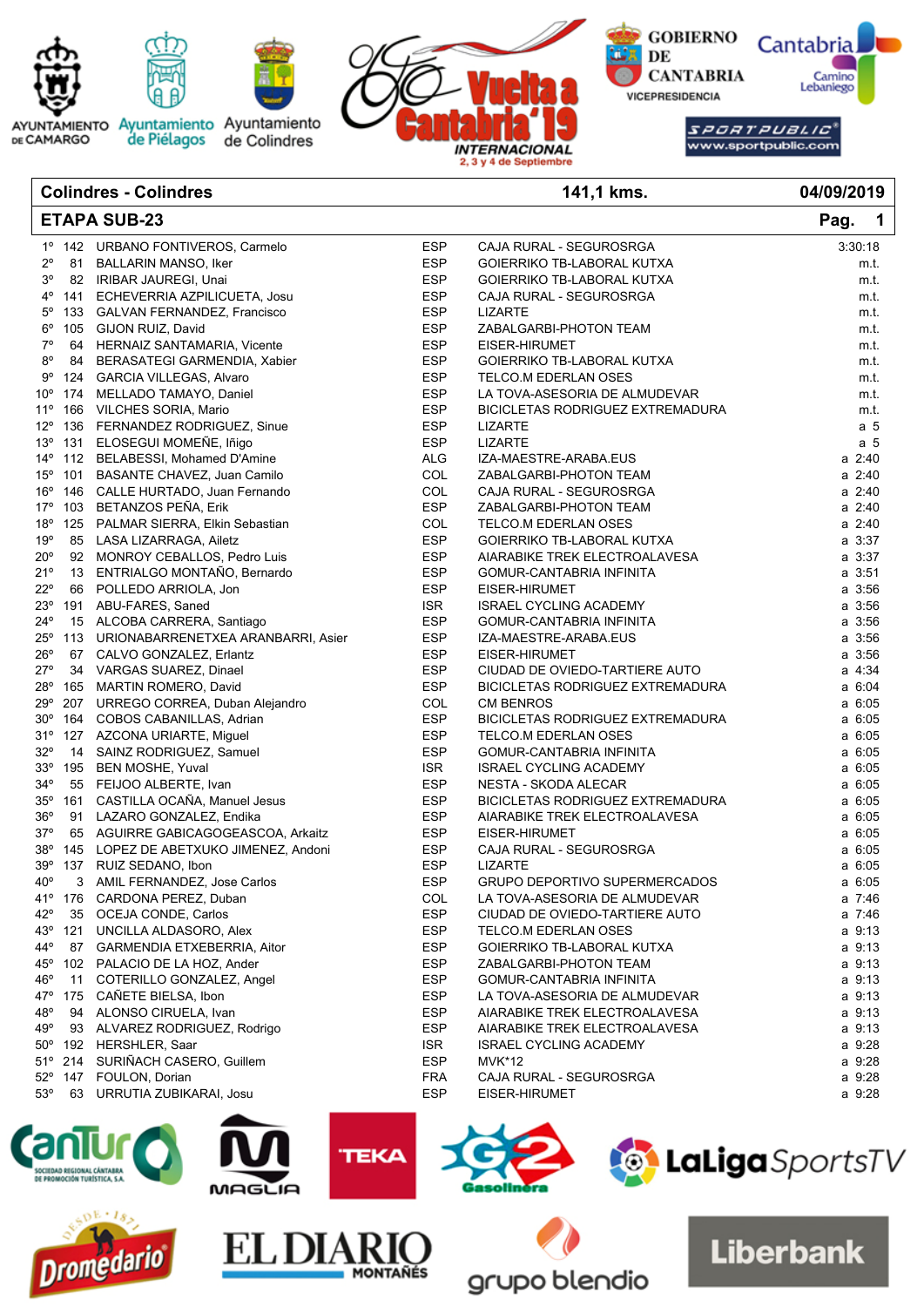

|              |         | oomnaros - oomnaros                    |            | . דו, וועוד                      | ,,,,,,,                          |
|--------------|---------|----------------------------------------|------------|----------------------------------|----------------------------------|
|              |         | <b>ETAPA SUB-23</b>                    |            |                                  | Pag.<br>$\overline{\phantom{0}}$ |
|              |         | 1º 142 URBANO FONTIVEROS, Carmelo      | <b>ESP</b> | CAJA RURAL - SEGUROSRGA          | 3:30:18                          |
| $2^{\circ}$  |         | 81 BALLARIN MANSO, Iker                | <b>ESP</b> | GOIERRIKO TB-LABORAL KUTXA       | m.t.                             |
| $3^{\circ}$  |         | 82 IRIBAR JAUREGI, Unai                | <b>ESP</b> | GOIERRIKO TB-LABORAL KUTXA       | m.t.                             |
| 4°           |         | 141 ECHEVERRIA AZPILICUETA, Josu       | <b>ESP</b> | CAJA RURAL - SEGUROSRGA          | m.t.                             |
| $5^{\circ}$  |         | 133 GALVAN FERNANDEZ, Francisco        | <b>ESP</b> | <b>LIZARTE</b>                   | m.t.                             |
| $6^{\circ}$  |         | 105 GIJON RUIZ, David                  | <b>ESP</b> | ZABALGARBI-PHOTON TEAM           | m.t.                             |
| 7°           |         | 64 HERNAIZ SANTAMARIA, Vicente         | <b>ESP</b> | EISER-HIRUMET                    | m.t.                             |
| $8^{\circ}$  |         | 84 BERASATEGI GARMENDIA, Xabier        | <b>ESP</b> | GOIERRIKO TB-LABORAL KUTXA       | m.t.                             |
| $9^{\circ}$  |         | 124 GARCIA VILLEGAS, Alvaro            | <b>ESP</b> | TELCO.M EDERLAN OSES             | m.t.                             |
| $10^{\circ}$ |         | 174 MELLADO TAMAYO, Daniel             | <b>ESP</b> | LA TOVA-ASESORIA DE ALMUDEVAR    | m.t.                             |
| $11^{\circ}$ |         | 166 VILCHES SORIA, Mario               | <b>ESP</b> | BICICLETAS RODRIGUEZ EXTREMADURA | m.t.                             |
| $12^{\circ}$ |         | 136 FERNANDEZ RODRIGUEZ, Sinue         | <b>ESP</b> | <b>LIZARTE</b>                   | a 5                              |
| $13^{\circ}$ |         | 131 ELOSEGUI MOMEÑE, Iñigo             | <b>ESP</b> | LIZARTE                          | a 5                              |
|              |         | 14º 112 BELABESSI, Mohamed D'Amine     | <b>ALG</b> | IZA-MAESTRE-ARABA.EUS            | a 2:40                           |
|              |         | 15° 101 BASANTE CHAVEZ, Juan Camilo    | COL        | ZABALGARBI-PHOTON TEAM           | a 2:40                           |
| $16^{\circ}$ |         | 146 CALLE HURTADO, Juan Fernando       | COL        | CAJA RURAL - SEGUROSRGA          | a 2:40                           |
| 17°          |         | 103 BETANZOS PEÑA, Erik                | <b>ESP</b> | ZABALGARBI-PHOTON TEAM           | a 2:40                           |
| $18^{\circ}$ |         | 125 PALMAR SIERRA, Elkin Sebastian     | COL        | TELCO.M EDERLAN OSES             | a 2:40                           |
| 19°          |         | 85 LASA LIZARRAGA, Ailetz              | <b>ESP</b> | GOIERRIKO TB-LABORAL KUTXA       | $a \, 3:37$                      |
| $20^{\circ}$ |         | 92 MONROY CEBALLOS, Pedro Luis         | <b>ESP</b> | AIARABIKE TREK ELECTROALAVESA    | a 3:37                           |
| 21°          |         | 13 ENTRIALGO MONTAÑO, Bernardo         | <b>ESP</b> | GOMUR-CANTABRIA INFINITA         | $a \, 3:51$                      |
| $22^{\circ}$ |         | 66 POLLEDO ARRIOLA, Jon                | <b>ESP</b> | EISER-HIRUMET                    | $a \, 3:56$                      |
| $23^\circ$   |         | 191 ABU-FARES, Saned                   | <b>ISR</b> | <b>ISRAEL CYCLING ACADEMY</b>    | a 3:56                           |
| $24^{\circ}$ |         | 15 ALCOBA CARRERA, Santiago            | <b>ESP</b> | GOMUR-CANTABRIA INFINITA         | a 3:56                           |
| $25^{\circ}$ |         | 113 URIONABARRENETXEA ARANBARRI, Asier | <b>ESP</b> | IZA-MAESTRE-ARABA.EUS            | $a \, 3:56$                      |
| $26^{\circ}$ |         | 67 CALVO GONZALEZ, Erlantz             | <b>ESP</b> | EISER-HIRUMET                    | $a \, 3:56$                      |
| 27°          |         | 34 VARGAS SUAREZ, Dinael               | <b>ESP</b> | CIUDAD DE OVIEDO-TARTIERE AUTO   | a 4:34                           |
| 28°          |         | 165 MARTIN ROMERO, David               | <b>ESP</b> | BICICLETAS RODRIGUEZ EXTREMADURA | a 6:04                           |
| 29°          |         | 207 URREGO CORREA, Duban Alejandro     | COL        | <b>CM BENROS</b>                 | $a \, 6:05$                      |
| $30^{\circ}$ | 164     | COBOS CABANILLAS, Adrian               | <b>ESP</b> | BICICLETAS RODRIGUEZ EXTREMADURA | a 6:05                           |
| 31°          |         | 127 AZCONA URIARTE, Miguel             | <b>ESP</b> | TELCO.M EDERLAN OSES             | $a \, 6:05$                      |
| $32^{\circ}$ |         | 14 SAINZ RODRIGUEZ, Samuel             | <b>ESP</b> | GOMUR-CANTABRIA INFINITA         | $a \, 6:05$                      |
| 33°          |         | 195 BEN MOSHE, Yuval                   | ISR.       | <b>ISRAEL CYCLING ACADEMY</b>    | $a \, 6:05$                      |
| $34^{\circ}$ |         | 55 FEIJOO ALBERTE, Ivan                | <b>ESP</b> | NESTA - SKODA ALECAR             | $a \, 6:05$                      |
| 35°          |         | 161 CASTILLA OCAÑA, Manuel Jesus       | <b>ESP</b> | BICICLETAS RODRIGUEZ EXTREMADURA | a 6:05                           |
| 36°          |         | 91 LAZARO GONZALEZ, Endika             | <b>ESP</b> | AIARABIKE TREK ELECTROALAVESA    | a 6:05                           |
| $37^\circ$   |         | 65 AGUIRRE GABICAGOGEASCOA, Arkaitz    | <b>ESP</b> | EISER-HIRUMET                    | $a \, 6:05$                      |
| 38°          |         | 145 LOPEZ DE ABETXUKO JIMENEZ, Andoni  | <b>ESP</b> | CAJA RURAL - SEGUROSRGA          | $a \, 6:05$                      |
| 39°          |         | 137 RUIZ SEDANO, Ibon                  | <b>ESP</b> | <b>LIZARTE</b>                   | a 6:05                           |
| $40^{\circ}$ |         | 3 AMIL FERNANDEZ, Jose Carlos          | <b>ESP</b> | GRUPO DEPORTIVO SUPERMERCADOS    | $a \, 6:05$                      |
| 41°          |         | 176 CARDONA PEREZ, Duban               | COL        | LA TOVA-ASESORIA DE ALMUDEVAR    | a 7:46                           |
| $42^{\circ}$ | 35      | OCEJA CONDE, Carlos                    | <b>ESP</b> | CIUDAD DE OVIEDO-TARTIERE AUTO   | a 7:46                           |
|              | 43° 121 | UNCILLA ALDASORO, Alex                 | <b>ESP</b> | TELCO.M EDERLAN OSES             | a 9:13                           |
| 44°          | 87      | GARMENDIA ETXEBERRIA, Aitor            | <b>ESP</b> | GOIERRIKO TB-LABORAL KUTXA       | a 9:13                           |
| $45^{\circ}$ |         | 102 PALACIO DE LA HOZ, Ander           | ESP        | ZABALGARBI-PHOTON TEAM           | a 9:13                           |
| 46°          | 11      | COTERILLO GONZALEZ, Angel              | <b>ESP</b> | GOMUR-CANTABRIA INFINITA         | a 9:13                           |
| 47°          | 175     | CAÑETE BIELSA, Ibon                    | <b>ESP</b> | LA TOVA-ASESORIA DE ALMUDEVAR    | a 9:13                           |
| 48°          |         | 94 ALONSO CIRUELA, Ivan                | <b>ESP</b> | AIARABIKE TREK ELECTROALAVESA    | a 9:13                           |
| 49°          | 93      | ALVAREZ RODRIGUEZ, Rodrigo             | ESP        | AIARABIKE TREK ELECTROALAVESA    | a 9:13                           |
|              | 50° 192 | HERSHLER, Saar                         | <b>ISR</b> | <b>ISRAEL CYCLING ACADEMY</b>    | a 9:28                           |
| $51^{\circ}$ | 214     | SURIÑACH CASERO, Guillem               | <b>ESP</b> | <b>MVK*12</b>                    | a 9:28                           |
|              | 52° 147 | FOULON, Dorian                         | <b>FRA</b> | CAJA RURAL - SEGUROSRGA          | a 9:28                           |
| $53^\circ$   | 63      | URRUTIA ZUBIKARAI, Josu                | <b>ESP</b> | EISER-HIRUMET                    | a 9:28                           |















grupo blendio

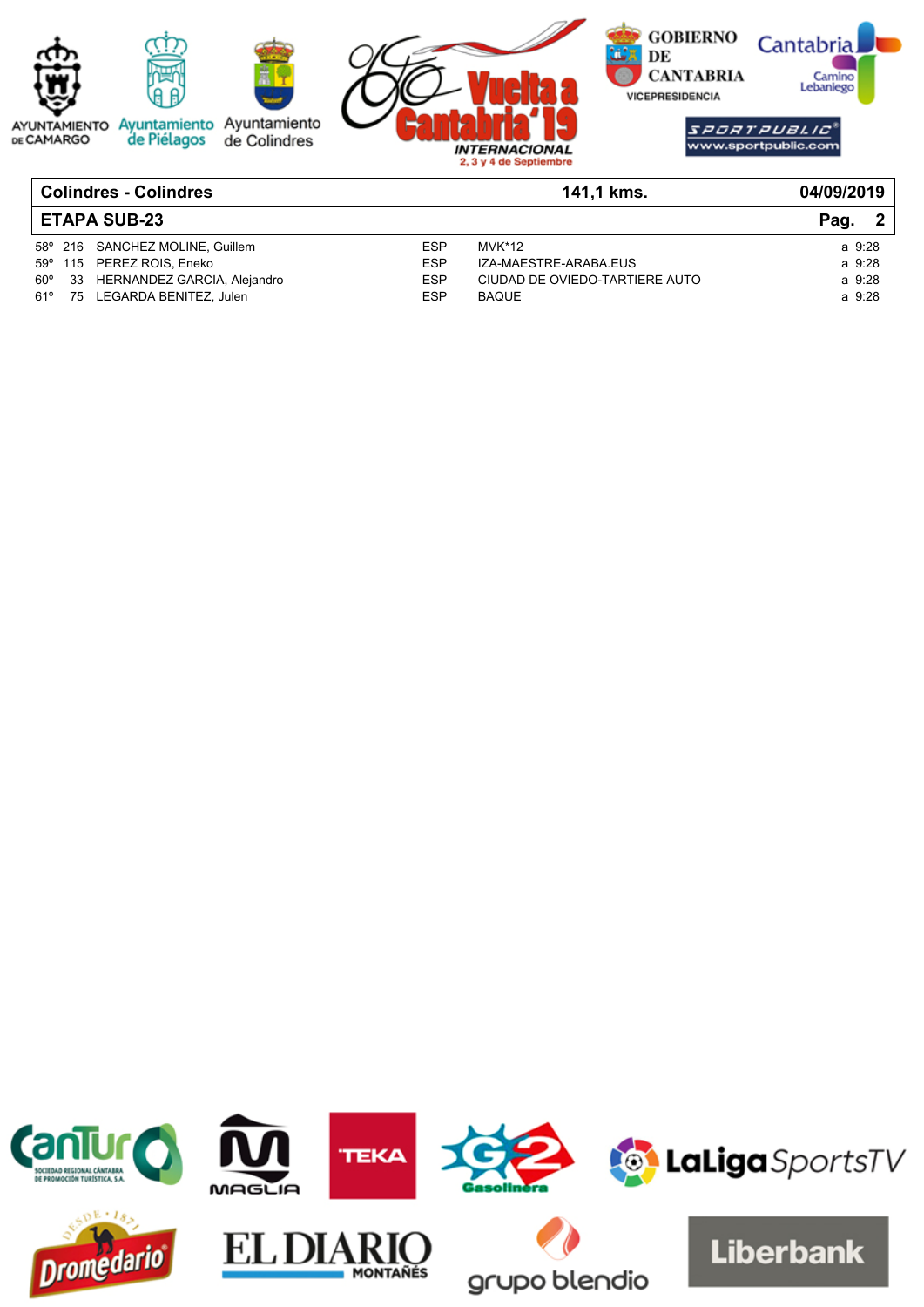

| <b>ETAPA SUB-23</b> |    |                                 |            |                                |        |
|---------------------|----|---------------------------------|------------|--------------------------------|--------|
|                     |    | 58° 216 SANCHEZ MOLINE, Guillem | ESP        | MVK*12                         | a 9:28 |
|                     |    | 59° 115 PEREZ ROIS, Eneko       | ESP        | IZA-MAESTRE-ARABA.EUS          | a 9:28 |
| $60^{\circ}$        |    | 33 HERNANDEZ GARCIA, Alejandro  | <b>ESP</b> | CIUDAD DE OVIEDO-TARTIERE AUTO | a 9:28 |
| 61°                 | 75 | LEGARDA BENITEZ. Julen          | ESP        | <b>BAQUE</b>                   | a 9:28 |

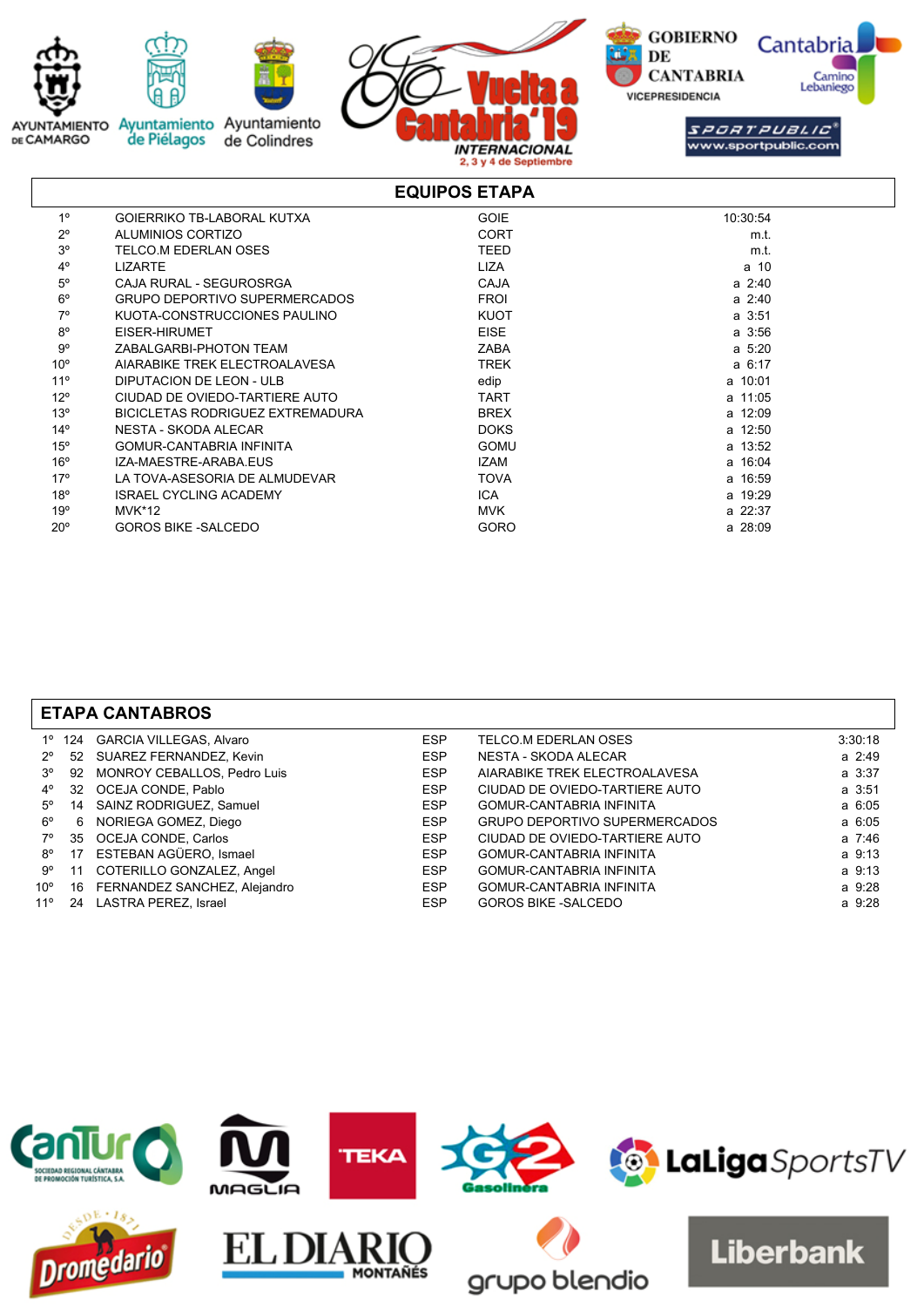

|                 |                                      | EQUIPUS ETAPA |             |
|-----------------|--------------------------------------|---------------|-------------|
| $1^{\circ}$     | <b>GOIERRIKO TB-LABORAL KUTXA</b>    | <b>GOIE</b>   | 10:30:54    |
| $2^{\circ}$     | ALUMINIOS CORTIZO                    | <b>CORT</b>   | m.t.        |
| 3 <sup>o</sup>  | TELCO.M EDERLAN OSES                 | TEED          | m.t.        |
| $4^{\circ}$     | <b>LIZARTE</b>                       | <b>LIZA</b>   | a 10        |
| $5^\circ$       | CAJA RURAL - SEGUROSRGA              | <b>CAJA</b>   | $a \; 2:40$ |
| $6^{\circ}$     | <b>GRUPO DEPORTIVO SUPERMERCADOS</b> | <b>FROI</b>   | $a \; 2:40$ |
| $7^\circ$       | KUOTA-CONSTRUCCIONES PAULINO         | <b>KUOT</b>   | a 3:51      |
| $8^{\circ}$     | EISER-HIRUMET                        | <b>EISE</b>   | a 3:56      |
| $9^{\circ}$     | ZABALGARBI-PHOTON TEAM               | <b>ZABA</b>   | $a \, 5:20$ |
| 10 <sup>o</sup> | AIARABIKE TREK ELECTROALAVESA        | TREK          | a 6:17      |
| 11 <sup>°</sup> | DIPUTACION DE LEON - ULB             | edip          | a 10:01     |
| $12^{\circ}$    | CIUDAD DE OVIEDO-TARTIERE AUTO       | TART          | a 11:05     |
| $13^\circ$      | BICICLETAS RODRIGUEZ EXTREMADURA     | <b>BREX</b>   | a 12:09     |
| $14^{\circ}$    | NESTA - SKODA ALECAR                 | <b>DOKS</b>   | a 12:50     |
| $15^{\circ}$    | <b>GOMUR-CANTABRIA INFINITA</b>      | <b>GOMU</b>   | a 13:52     |
| $16^{\circ}$    | IZA-MAESTRE-ARABA EUS                | <b>IZAM</b>   | a 16:04     |
| 17°             | LA TOVA-ASESORIA DE ALMUDEVAR        | <b>TOVA</b>   | a 16:59     |
| 18°             | <b>ISRAEL CYCLING ACADEMY</b>        | ICA           | a 19:29     |
| 19°             | <b>MVK*12</b>                        | <b>MVK</b>    | a 22:37     |
| $20^{\circ}$    | <b>GOROS BIKE -SALCEDO</b>           | GORO          | a 28:09     |
|                 |                                      |               |             |

| <b>ETAPA CANTABROS</b> |                         |                                                                                                                                                                                                                                                                                          |                                 |         |  |  |  |
|------------------------|-------------------------|------------------------------------------------------------------------------------------------------------------------------------------------------------------------------------------------------------------------------------------------------------------------------------------|---------------------------------|---------|--|--|--|
|                        |                         | <b>ESP</b>                                                                                                                                                                                                                                                                               | TELCO.M EDERLAN OSES            | 3:30:18 |  |  |  |
|                        |                         | ESP                                                                                                                                                                                                                                                                                      | NESTA - SKODA ALECAR            | a 2:49  |  |  |  |
|                        |                         | <b>ESP</b>                                                                                                                                                                                                                                                                               | AIARABIKE TREK ELECTROALAVESA   | a 3:37  |  |  |  |
|                        |                         | <b>ESP</b>                                                                                                                                                                                                                                                                               | CIUDAD DE OVIEDO-TARTIERE AUTO  | a 3:51  |  |  |  |
| 14                     | SAINZ RODRIGUEZ, Samuel | <b>ESP</b>                                                                                                                                                                                                                                                                               | <b>GOMUR-CANTABRIA INFINITA</b> | a 6:05  |  |  |  |
| -6                     |                         | <b>ESP</b>                                                                                                                                                                                                                                                                               | GRUPO DEPORTIVO SUPERMERCADOS   | a 6:05  |  |  |  |
| 35                     |                         | <b>ESP</b>                                                                                                                                                                                                                                                                               | CIUDAD DE OVIEDO-TARTIERE AUTO  | a 7:46  |  |  |  |
|                        |                         | <b>ESP</b>                                                                                                                                                                                                                                                                               | <b>GOMUR-CANTABRIA INFINITA</b> | a 9:13  |  |  |  |
| 11                     |                         | <b>ESP</b>                                                                                                                                                                                                                                                                               | <b>GOMUR-CANTABRIA INFINITA</b> | a 9:13  |  |  |  |
|                        |                         | <b>ESP</b>                                                                                                                                                                                                                                                                               | <b>GOMUR-CANTABRIA INFINITA</b> | a 9:28  |  |  |  |
| 24                     |                         | ESP                                                                                                                                                                                                                                                                                      | <b>GOROS BIKE -SALCEDO</b>      | a 9:28  |  |  |  |
|                        |                         | 124 GARCIA VILLEGAS, Alvaro<br>52 SUAREZ FERNANDEZ, Kevin<br>92 MONROY CEBALLOS, Pedro Luis<br>32 OCEJA CONDE, Pablo<br>NORIEGA GOMEZ, Diego<br>OCEJA CONDE, Carlos<br>17 ESTEBAN AGÜERO, Ismael<br>COTERILLO GONZALEZ, Angel<br>16 FERNANDEZ SANCHEZ, Alejandro<br>LASTRA PEREZ, Israel |                                 |         |  |  |  |

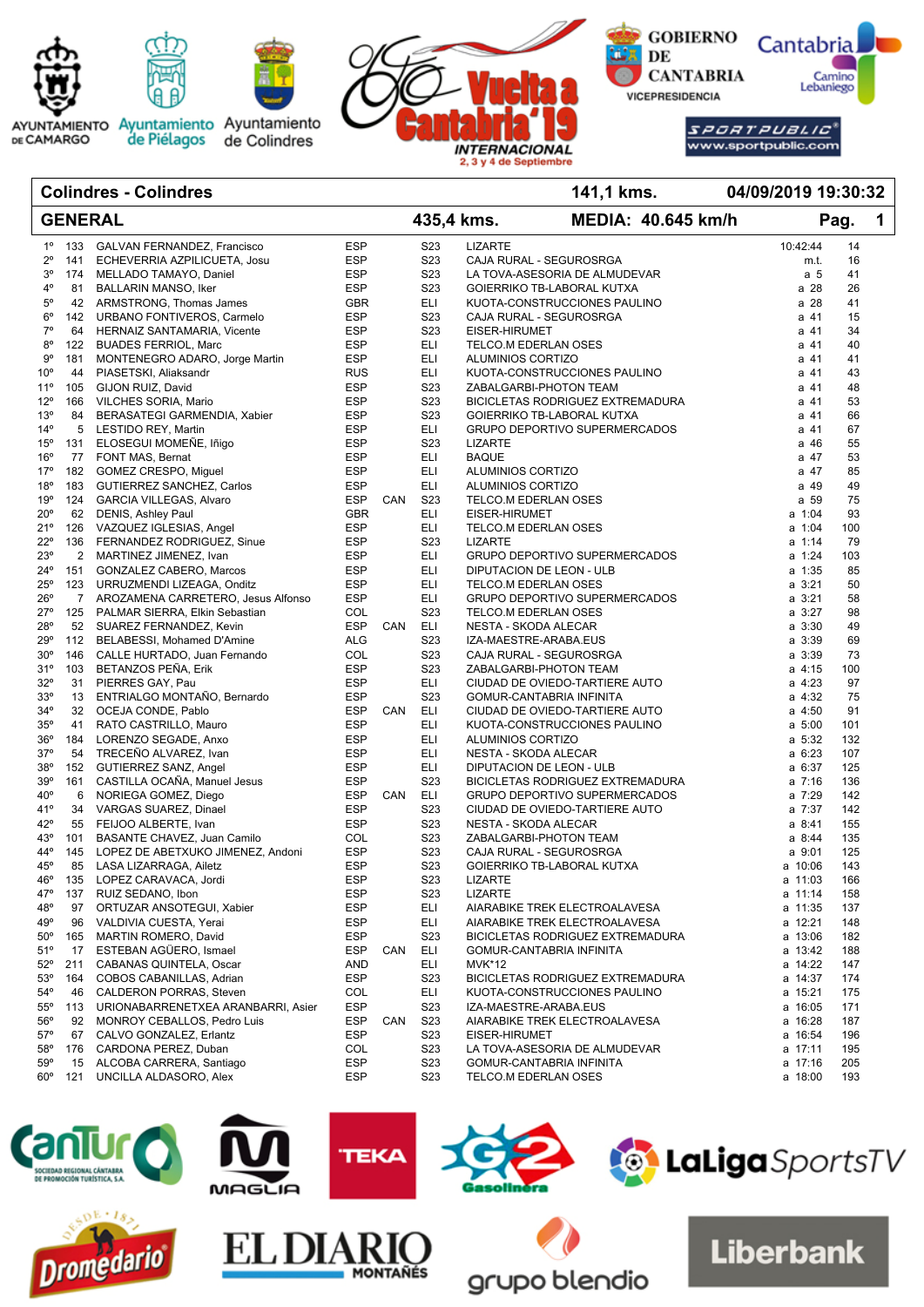

### **GENERAL MEDIA: 40.645 km/h Pag. 1 Colindres - Colindres 141,1 kms. 435,4 kms. 04/09/2019 19:30:32** 1º 133 GALVAN FERNANDEZ, Francisco ESP S23 LIZARTE 10:42:44 14 2º 141 ECHEVERRIA AZPILICUETA, Josu ESP S23 CAJA RURAL - SEGUROSRGA m.t. 16 3º 174 MELLADO TAMAYO, Daniel ESP S23 LA TOVA-ASESORIA DE ALMUDEVAR a 5 41 81 BALLARIN MANSO, Iker ESP S23 GOIFRRIKO TB-LABORAL KUTXA a 28 26 26 26 5º 42 ARMSTRONG, Thomas James GBR ELI KUOTA-CONSTRUCCIONES PAULINO a 28 41 6º 142 URBANO FONTIVEROS, Carmelo ESP S23 CAJA RURAL - SEGUROSRGA a 41 15 7º 64 HERNAIZ SANTAMARIA, Vicente ESP S23 EISER-HIRUMET a 41 34 8º 122 BUADES FERRIOL, Marc **ESP** ELI TELCO.M EDERLAN OSES **EXAM** 241 40 9º 181 MONTENEGRO ADARO, Jorge Martin ESP ELI ALUMINIOS CORTIZO a 41 41 10º 44 PIASETSKI, Aliaksandr RUS ELI KUOTA-CONSTRUCCIONES PAULINO a 41 43 105 GIJON RUIZ, David **ESP** S23 ZABALGARBI-PHOTON TEAM **a 41 48** 12º 166 VILCHES SORIA, Mario ESP S23 BICICLETAS RODRIGUEZ EXTREMADURA a 41 53 13º 84 BERASATEGI GARMENDIA, Xabier ESP S23 GOIERRIKO TB-LABORAL KUTXA a 41 66 14º 5 LESTIDO REY, Martin **ESP** ELI GRUPO DEPORTIVO SUPERMERCADOS **a 41 67** 15º 131 ELOSEGUI MOMEÑE, Iñigo ESP S23 LIZARTE a 46 55 16º 77 FONT MAS, Bernat **ESP** ELI BAQUE **ELI BAQUE ELI ESP** e 47 53 17º 182 GOMEZ CRESPO, Miguel ESP ELI ALUMINIOS CORTIZO a 47 85 18º 183 GUTIERREZ SANCHEZ, Carlos ESP ELI ALUMINIOS CORTIZO a 49 49 19º 124 GARCIA VILLEGAS, Alvaro ESP CAN S23 TELCO.M EDERLAN OSES a 59 75 20º 62 DENIS, Ashley Paul GBR ELI EISER-HIRUMET a 1:04 93 21º 126 VAZQUEZ IGLESIAS, Angel ESP ELI TELCO.M EDERLAN OSES a 1:04 100 22º 136 FERNANDEZ RODRIGUEZ, Sinue ESP S23 LIZARTE a 1:14 79 23º 2 MARTINEZ JIMENEZ, Ivan ESP ELI GRUPO DEPORTIVO SUPERMERCADOS a 1:24 103 24º 151 GONZALEZ CABERO, Marcos ESP ELI DIPUTACION DE LEON - ULB a 1:35 85 25º 123 URRUZMENDI LIZEAGA, Onditz ESP ELI TELCO.M EDERLAN OSES a 3:21 50 26º 7 AROZAMENA CARRETERO, Jesus Alfonso ESP ELI GRUPO DEPORTIVO SUPERMERCADOS a 3:21 58 27º 125 PALMAR SIERRA, Elkin Sebastian COL S23 TELCO.M EDERLAN OSES a 3:27 98 28º 52 SUAREZ FERNANDEZ, Kevin ESP CAN ELI NESTA - SKODA ALECAR a 3:30 49 29º 112 BELABESSI, Mohamed D'Amine ALG S23 IZA-MAESTRE-ARABA.EUS a 3:39 69 30º 146 CALLE HURTADO, Juan Fernando COL S23 CAJA RURAL - SEGUROSRGA a 3:39 73 31º 103 BETANZOS PEÑA. Erik Especial ESP S23 ZABALGARBI-PHOTON TEAM a 4:15 100 32º 31 PIERRES GAY, Pau COMPOS ESP ELI CIUDAD DE OVIEDO-TARTIERE AUTO COMPOS A 4:23 97 icht in ENTRIALGO MONTAÑO, Bernardo and ESP S23 GOMUR-CANTABRIA INFINITA<br>14º 32 OCEIA CONDE Pablo → ESP CAN ELL CIUDAD DE OVIEDO-TARTIERE AUTO a 4:50 91 de 4:50 91 32 OCEJA CONDE, Pablo **ESP CAN ELI** CIUDAD DE OVIEDO-TARTIERE AUTO **a 4:50** 91 35º 41 RATO CASTRILLO, Mauro ESP ELI KUOTA-CONSTRUCCIONES PAULINO a 5:00 101 36º 184 LORENZO SEGADE, Anxo ESP ELI ALUMINIOS CORTIZO a 5:32 132 37º 54 TRECEÑO ALVAREZ, Ivan ESP ELI NESTA - SKODA ALECAR a 6:23 107 38º 152 GUTIERREZ SANZ, Angel ESP ELI DIPUTACION DE LEON - ULB a 6:37 125 39º 161 CASTILLA OCAÑA, Manuel Jesus ESP S23 BICICLETAS RODRIGUEZ EXTREMADURA a 7:16 136 40º 6 NORIEGA GOMEZ, Diego ESP CAN ELI GRUPO DEPORTIVO SUPERMERCADOS a 7:29 142 41º 34 VARGAS SUAREZ, Dinael ESP S23 CIUDAD DE OVIEDO-TARTIERE AUTO a 7:37 142 er 19 FEIJOO ALBERTE, Ivan 1955 – ESP S23 NESTA - SKODA ALECAR (1999) – San 1955 – San 1968<br>1999 – Ann De San Holland Camilo – San International San International COL (San International School and Aska 44° 101 BASANTE CHAVEZ, Juan Camilo COL S23 ZABALGARBI-PHOTON TEAM a 3:44 44º 145 LOPEZ DE ABETXUKO JIMENEZ, Andoni ESP S23 CAJA RURAL - SEGUROSRGA a 9:01 125 45º 85 LASA LIZARRAGA, Ailetz ESP S23 GOIERRIKO TB-LABORAL KUTXA a 10:06 143 46º 135 LOPEZ CARAVACA, Jordi ESP S23 LIZARTE a 11:03 166 47º 137 RUIZ SEDANO, Ibon ESP S23 LIZARTE a 11:14 158 48º 97 ORTUZAR ANSOTEGUI, Xabier ESP ELI AIARABIKE TREK ELECTROALAVESA a 11:35 137 49º 96 VALDIVIA CUESTA, Yerai ESP ELI AIARABIKE TREK ELECTROALAVESA a 12:21 148 50º 165 MARTIN ROMERO, David ESP S23 BICICLETAS RODRIGUEZ EXTREMADURA a 13:06 182 51º 17 ESTEBAN AGÜERO, Ismael ESP CAN ELI GOMUR-CANTABRIA INFINITA a 13:42 188 52º 211 CABANAS QUINTELA, Oscar AND ELI MVK\*12 a 14:22 147 53º 164 COBOS CABANILLAS, Adrian ESP S23 BICICLETAS RODRIGUEZ EXTREMADURA a 14:37 174 54º 46 CALDERON PORRAS, Steven COL ELI KUOTA-CONSTRUCCIONES PAULINO a 15:21 175 55º 113 URIONABARRENETXEA ARANBARRI, Asier ESP S23 IZA-MAESTRE-ARABA.EUS a 16:05 171 56º 92 MONROY CEBALLOS, Pedro Luis **ESP CAN S23 AIARABIKE TREK ELECTROALAVESA** a 16:28 187 57º 67 CALVO GONZALEZ, Erlantz ESP S23 EISER-HIRUMET a 16:54 196 58º 176 CARDONA PEREZ, Duban COL S23 LA TOVA-ASESORIA DE ALMUDEVAR a 17:11 195 59º 15 ALCOBA CARRERA, Santiago ESP S23 GOMUR-CANTABRIA INFINITA a 17:16 205 60º 121 UNCILLA ALDASORO, Alex ESP S23 TELCO.M EDERLAN OSES a 18:00 193



arupo blendio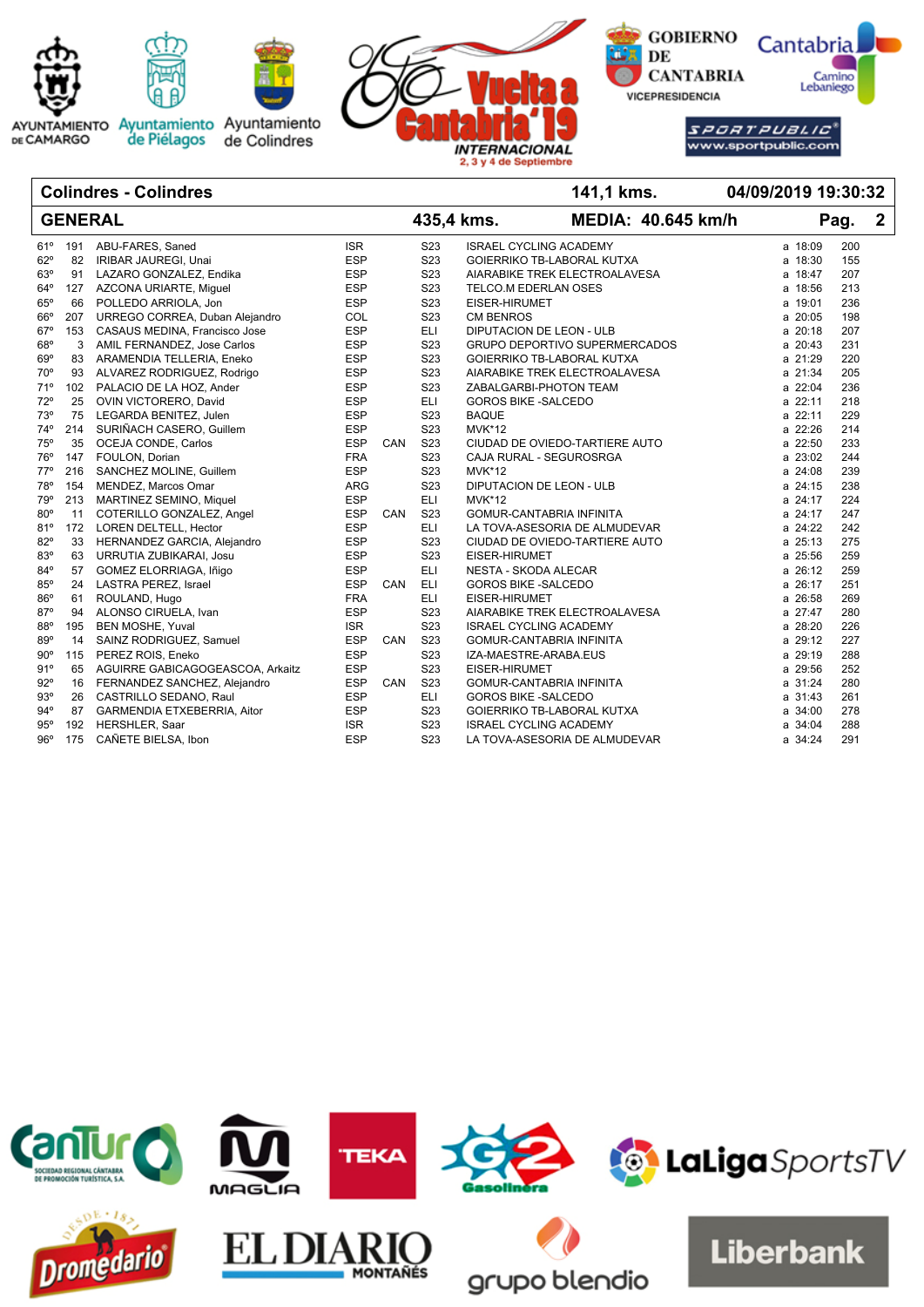

### **Colindres - Colindres 141,1 kms.**

|              |     | <b>GENERAL</b>                   |            |     |                  | 435,4 kms.                 |                                 | <b>MEDIA: 40.645 km/h</b> |         | Pag. | $\mathbf{2}$ |
|--------------|-----|----------------------------------|------------|-----|------------------|----------------------------|---------------------------------|---------------------------|---------|------|--------------|
| 61°          | 191 | ABU-FARES, Saned                 | <b>ISR</b> |     | S <sub>23</sub>  |                            | <b>ISRAEL CYCLING ACADEMY</b>   |                           | a 18:09 | 200  |              |
| 62°          | 82  | IRIBAR JAUREGI, Unai             | <b>ESP</b> |     | S <sub>23</sub>  |                            | GOIERRIKO TB-LABORAL KUTXA      |                           | a 18:30 | 155  |              |
| $63^\circ$   | 91  | LAZARO GONZALEZ, Endika          | <b>ESP</b> |     | S <sub>23</sub>  |                            | AIARABIKE TREK ELECTROALAVESA   |                           | a 18:47 | 207  |              |
| $64^{\circ}$ | 127 | AZCONA URIARTE, Miguel           | <b>ESP</b> |     | S <sub>23</sub>  | TELCO.M EDERLAN OSES       |                                 |                           | a 18:56 | 213  |              |
| $65^\circ$   | 66  | POLLEDO ARRIOLA, Jon             | <b>ESP</b> |     | S <sub>23</sub>  | EISER-HIRUMET              |                                 |                           | a 19:01 | 236  |              |
| $66^\circ$   | 207 | URREGO CORREA, Duban Alejandro   | COL        |     | S <sub>23</sub>  | <b>CM BENROS</b>           |                                 |                           | a 20:05 | 198  |              |
| $67^\circ$   | 153 | CASAUS MEDINA, Francisco Jose    | <b>ESP</b> |     | <b>ELI</b>       |                            | <b>DIPUTACION DE LEON - ULB</b> |                           | a 20:18 | 207  |              |
| 68°          | 3   | AMIL FERNANDEZ, Jose Carlos      | <b>ESP</b> |     | S <sub>23</sub>  |                            | GRUPO DEPORTIVO SUPERMERCADOS   |                           | a 20:43 | 231  |              |
| $69^\circ$   | 83  | ARAMENDIA TELLERIA, Eneko        | <b>ESP</b> |     | S <sub>23</sub>  |                            | GOIERRIKO TB-LABORAL KUTXA      |                           | a 21:29 | 220  |              |
| $70^{\circ}$ | 93  | ALVAREZ RODRIGUEZ, Rodrigo       | <b>ESP</b> |     | S <sub>23</sub>  |                            | AIARABIKE TREK ELECTROALAVESA   |                           | a 21:34 | 205  |              |
| 71°          | 102 | PALACIO DE LA HOZ, Ander         | <b>ESP</b> |     | S <sub>23</sub>  |                            | ZABALGARBI-PHOTON TEAM          |                           | a 22:04 | 236  |              |
| 72°          | 25  | OVIN VICTORERO, David            | <b>ESP</b> |     | <b>ELI</b>       | <b>GOROS BIKE -SALCEDO</b> |                                 |                           | a 22:11 | 218  |              |
| 73°          | 75  | LEGARDA BENITEZ, Julen           | <b>ESP</b> |     | S <sub>2</sub> 3 | <b>BAQUE</b>               |                                 |                           | a 22:11 | 229  |              |
| $74^{\circ}$ | 214 | SURIÑACH CASERO, Guillem         | <b>ESP</b> |     | S <sub>2</sub> 3 | <b>MVK*12</b>              |                                 |                           | a 22:26 | 214  |              |
| 75°          | 35  | OCEJA CONDE, Carlos              | <b>ESP</b> | CAN | S <sub>23</sub>  |                            | CIUDAD DE OVIEDO-TARTIERE AUTO  |                           | a 22:50 | 233  |              |
| 76°          | 147 | FOULON, Dorian                   | <b>FRA</b> |     | S <sub>23</sub>  |                            | CAJA RURAL - SEGUROSRGA         |                           | a 23:02 | 244  |              |
| $77^{\circ}$ | 216 | SANCHEZ MOLINE, Guillem          | <b>ESP</b> |     | S <sub>23</sub>  | <b>MVK*12</b>              |                                 |                           | a 24:08 | 239  |              |
| 78°          | 154 | MENDEZ, Marcos Omar              | ARG        |     | S23              |                            | DIPUTACION DE LEON - ULB        |                           | a 24:15 | 238  |              |
| 79°          | 213 | MARTINEZ SEMINO, Miquel          | <b>ESP</b> |     | <b>ELI</b>       | <b>MVK*12</b>              |                                 |                           | a 24:17 | 224  |              |
| 80°          | 11  | COTERILLO GONZALEZ, Angel        | <b>ESP</b> | CAN | S <sub>23</sub>  |                            | GOMUR-CANTABRIA INFINITA        |                           | a 24:17 | 247  |              |
| 81°          | 172 | LOREN DELTELL, Hector            | <b>ESP</b> |     | <b>ELI</b>       |                            | LA TOVA-ASESORIA DE ALMUDEVAR   |                           | a 24:22 | 242  |              |
| 82°          | 33  | HERNANDEZ GARCIA, Alejandro      | <b>ESP</b> |     | S <sub>23</sub>  |                            | CIUDAD DE OVIEDO-TARTIERE AUTO  |                           | a 25:13 | 275  |              |
| 83°          | 63  | URRUTIA ZUBIKARAI, Josu          | <b>ESP</b> |     | S <sub>23</sub>  | EISER-HIRUMET              |                                 |                           | a 25:56 | 259  |              |
| 84°          | 57  | GOMEZ ELORRIAGA, Iñigo           | <b>ESP</b> |     | <b>ELI</b>       | NESTA - SKODA ALECAR       |                                 |                           | a 26:12 | 259  |              |
| 85°          | 24  | LASTRA PEREZ, Israel             | <b>ESP</b> | CAN | <b>ELI</b>       | <b>GOROS BIKE -SALCEDO</b> |                                 |                           | a 26:17 | 251  |              |
| 86°          | 61  | ROULAND, Hugo                    | <b>FRA</b> |     | <b>ELI</b>       | EISER-HIRUMET              |                                 |                           | a 26:58 | 269  |              |
| 87°          | 94  | ALONSO CIRUELA, Ivan             | <b>ESP</b> |     | S <sub>23</sub>  |                            | AIARABIKE TREK ELECTROALAVESA   |                           | a 27:47 | 280  |              |
| 88°          | 195 | <b>BEN MOSHE, Yuval</b>          | <b>ISR</b> |     | S <sub>23</sub>  |                            | <b>ISRAEL CYCLING ACADEMY</b>   |                           | a 28:20 | 226  |              |
| 89°          | 14  | SAINZ RODRIGUEZ, Samuel          | <b>ESP</b> | CAN | S <sub>23</sub>  |                            | GOMUR-CANTABRIA INFINITA        |                           | a 29:12 | 227  |              |
| $90^{\circ}$ | 115 | PEREZ ROIS, Eneko                | <b>ESP</b> |     | S <sub>23</sub>  | IZA-MAESTRE-ARABA.EUS      |                                 |                           | a 29:19 | 288  |              |
| 91°          | 65  | AGUIRRE GABICAGOGEASCOA, Arkaitz | <b>ESP</b> |     | S <sub>23</sub>  | EISER-HIRUMET              |                                 |                           | a 29:56 | 252  |              |
| $92^\circ$   | 16  | FERNANDEZ SANCHEZ, Alejandro     | <b>ESP</b> | CAN | S <sub>23</sub>  |                            | GOMUR-CANTABRIA INFINITA        |                           | a 31:24 | 280  |              |
| 93°          | 26  | CASTRILLO SEDANO, Raul           | <b>ESP</b> |     | <b>ELI</b>       | <b>GOROS BIKE -SALCEDO</b> |                                 |                           | a 31:43 | 261  |              |
| $94^{\circ}$ | 87  | GARMENDIA ETXEBERRIA, Aitor      | <b>ESP</b> |     | S <sub>23</sub>  |                            | GOIERRIKO TB-LABORAL KUTXA      |                           | a 34:00 | 278  |              |
| 95°          | 192 | HERSHLER, Saar                   | <b>ISR</b> |     | S <sub>23</sub>  |                            | <b>ISRAEL CYCLING ACADEMY</b>   |                           | a 34:04 | 288  |              |
| $96^\circ$   | 175 | CAÑETE BIELSA, Ibon              | <b>ESP</b> |     | S <sub>23</sub>  |                            | LA TOVA-ASESORIA DE ALMUDEVAR   |                           | a 34:24 | 291  |              |

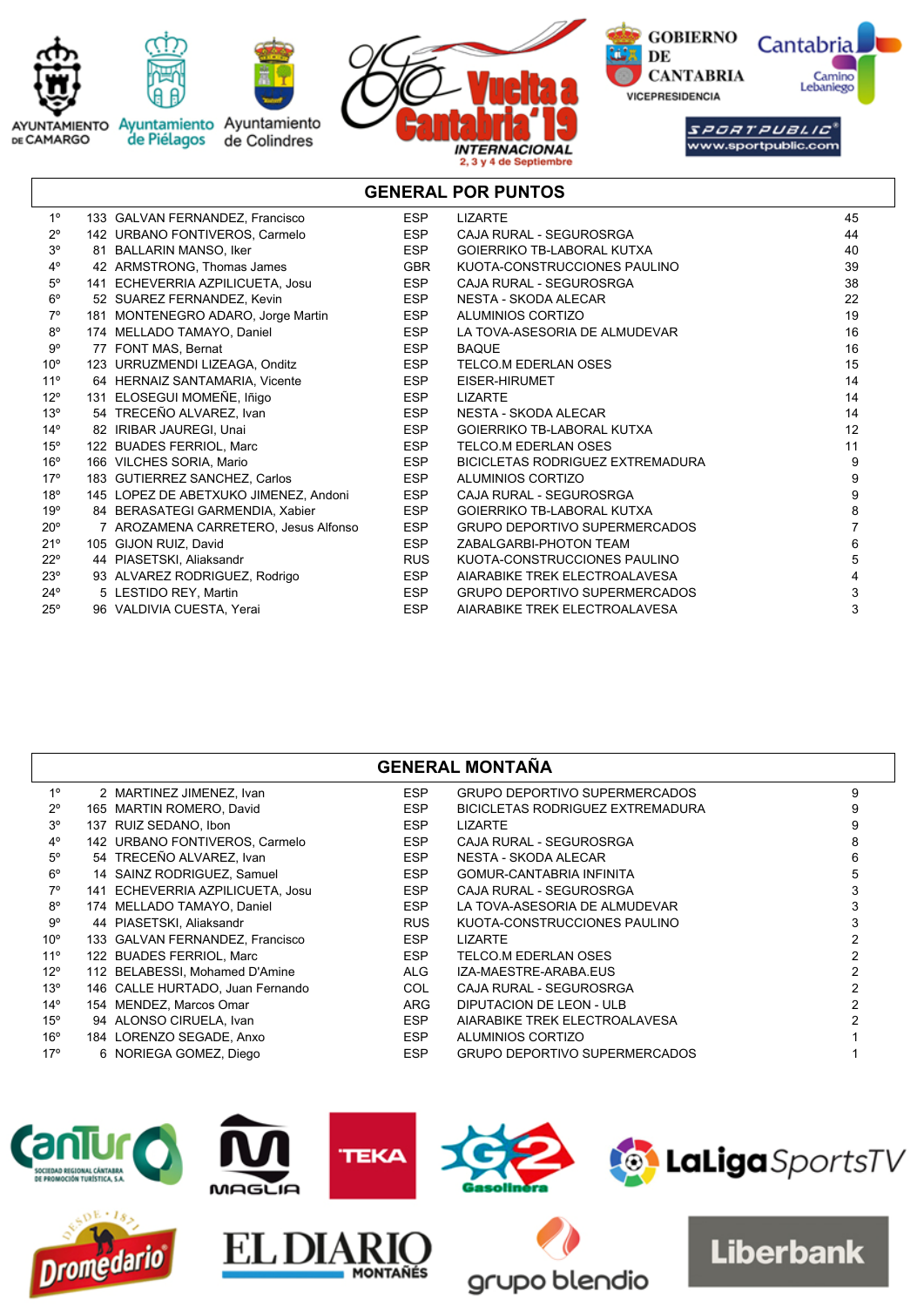

# **GENERAL POR PUNTOS**

| 1 <sup>°</sup>  | 133 GALVAN FERNANDEZ, Francisco       | <b>ESP</b> | <b>LIZARTE</b>                       | 45 |
|-----------------|---------------------------------------|------------|--------------------------------------|----|
| $2^{\circ}$     | 142 URBANO FONTIVEROS, Carmelo        | <b>ESP</b> | CAJA RURAL - SEGUROSRGA              | 44 |
| 3 <sup>o</sup>  | 81 BALLARIN MANSO, Iker               | <b>ESP</b> | <b>GOIERRIKO TB-LABORAL KUTXA</b>    | 40 |
| $4^{\circ}$     | 42 ARMSTRONG, Thomas James            | <b>GBR</b> | KUOTA-CONSTRUCCIONES PAULINO         | 39 |
| $5^{\circ}$     | 141 ECHEVERRIA AZPILICUETA, Josu      | <b>ESP</b> | CAJA RURAL - SEGUROSRGA              | 38 |
| $6^{\circ}$     | 52 SUAREZ FERNANDEZ, Kevin            | <b>ESP</b> | NESTA - SKODA ALECAR                 | 22 |
| $7^\circ$       | 181 MONTENEGRO ADARO, Jorge Martin    | <b>ESP</b> | ALUMINIOS CORTIZO                    | 19 |
| $8^{\circ}$     | 174 MELLADO TAMAYO, Daniel            | <b>ESP</b> | LA TOVA-ASESORIA DE ALMUDEVAR        | 16 |
| $9^{\circ}$     | 77 FONT MAS, Bernat                   | <b>ESP</b> | <b>BAQUE</b>                         | 16 |
| $10^{\circ}$    | 123 URRUZMENDI LIZEAGA, Onditz        | <b>ESP</b> | TELCO M EDERLAN OSES                 | 15 |
| $11^{\circ}$    | 64 HERNAIZ SANTAMARIA, Vicente        | <b>ESP</b> | EISER-HIRUMET                        | 14 |
| $12^{\circ}$    | 131 ELOSEGUI MOMEÑE, Iñigo            | <b>ESP</b> | <b>LIZARTE</b>                       | 14 |
| 13 <sup>°</sup> | 54 TRECEÑO ALVAREZ, Ivan              | <b>ESP</b> | NESTA - SKODA ALECAR                 | 14 |
| $14^{\circ}$    | 82 IRIBAR JAUREGI, Unai               | ESP        | <b>GOIERRIKO TB-LABORAL KUTXA</b>    | 12 |
| $15^{\circ}$    | 122 BUADES FERRIOL, Marc              | <b>ESP</b> | TELCO.M EDERLAN OSES                 | 11 |
| $16^{\circ}$    | 166 VILCHES SORIA, Mario              | <b>ESP</b> | BICICLETAS RODRIGUEZ EXTREMADURA     | 9  |
| 17°             | 183 GUTIERREZ SANCHEZ, Carlos         | <b>ESP</b> | ALUMINIOS CORTIZO                    | 9  |
| $18^{\circ}$    | 145 LOPEZ DE ABETXUKO JIMENEZ, Andoni | <b>ESP</b> | CAJA RURAL - SEGUROSRGA              | 9  |
| 19°             | 84 BERASATEGI GARMENDIA, Xabier       | <b>ESP</b> | <b>GOIERRIKO TB-LABORAL KUTXA</b>    | 8  |
| $20^{\circ}$    | 7 AROZAMENA CARRETERO, Jesus Alfonso  | <b>ESP</b> | <b>GRUPO DEPORTIVO SUPERMERCADOS</b> |    |
| 21°             | 105 GIJON RUIZ, David                 | <b>ESP</b> | ZABALGARBI-PHOTON TEAM               | 6  |
| $22^{\circ}$    | 44 PIASETSKI, Aliaksandr              | <b>RUS</b> | KUOTA-CONSTRUCCIONES PAULINO         | 5  |
| 23°             | 93 ALVAREZ RODRIGUEZ, Rodrigo         | <b>ESP</b> | AIARABIKE TREK ELECTROALAVESA        | 4  |
| $24^{\circ}$    | 5 LESTIDO REY, Martin                 | <b>ESP</b> | <b>GRUPO DEPORTIVO SUPERMERCADOS</b> | 3  |
| $25^\circ$      | 96 VALDIVIA CUESTA, Yerai             | <b>ESP</b> | AIARABIKE TREK ELECTROALAVESA        | 3  |

## **GENERAL MONTAÑA**

| $1^{\circ}$     | 2 MARTINEZ JIMENEZ, Ivan         | <b>ESP</b> | GRUPO DEPORTIVO SUPERMERCADOS        |  |
|-----------------|----------------------------------|------------|--------------------------------------|--|
| $2^{\circ}$     | 165 MARTIN ROMERO, David         | <b>ESP</b> | BICICLETAS RODRIGUEZ EXTREMADURA     |  |
| $3^{\circ}$     | 137 RUIZ SEDANO, Ibon            | <b>ESP</b> | <b>LIZARTE</b>                       |  |
| $4^{\circ}$     | 142 URBANO FONTIVEROS, Carmelo   | <b>ESP</b> | CAJA RURAL - SEGUROSRGA              |  |
| $5^{\circ}$     | 54 TRECEÑO ALVAREZ, Ivan         | <b>ESP</b> | NESTA - SKODA ALECAR                 |  |
| $6^{\circ}$     | 14 SAINZ RODRIGUEZ, Samuel       | <b>ESP</b> | GOMUR-CANTABRIA INFINITA             |  |
| $7^\circ$       | 141 ECHEVERRIA AZPILICUETA, Josu | <b>ESP</b> | CAJA RURAL - SEGUROSRGA              |  |
| $8^{\circ}$     | 174 MELLADO TAMAYO, Daniel       | <b>ESP</b> | LA TOVA-ASESORIA DE ALMUDEVAR        |  |
| 9°              | 44 PIASETSKI, Aliaksandr         | <b>RUS</b> | KUOTA-CONSTRUCCIONES PAULINO         |  |
| $10^{\circ}$    | 133 GALVAN FERNANDEZ, Francisco  | <b>ESP</b> | <b>LIZARTE</b>                       |  |
| $11^{\circ}$    | 122 BUADES FERRIOL, Marc         | <b>ESP</b> | TELCO.M EDERLAN OSES                 |  |
| $12^{\circ}$    | 112 BELABESSI, Mohamed D'Amine   | ALG        | IZA-MAESTRE-ARABA.EUS                |  |
| 13 <sup>°</sup> | 146 CALLE HURTADO, Juan Fernando | <b>COL</b> | CAJA RURAL - SEGUROSRGA              |  |
| $14^{\circ}$    | 154 MENDEZ, Marcos Omar          | <b>ARG</b> | DIPUTACION DE LEON - ULB             |  |
| $15^{\circ}$    | 94 ALONSO CIRUELA, Ivan          | <b>ESP</b> | AIARABIKE TREK ELECTROALAVESA        |  |
| $16^{\circ}$    | 184 LORENZO SEGADE, Anxo         | <b>ESP</b> | ALUMINIOS CORTIZO                    |  |
| 17 <sup>°</sup> | 6 NORIEGA GOMEZ, Diego           | <b>ESP</b> | <b>GRUPO DEPORTIVO SUPERMERCADOS</b> |  |

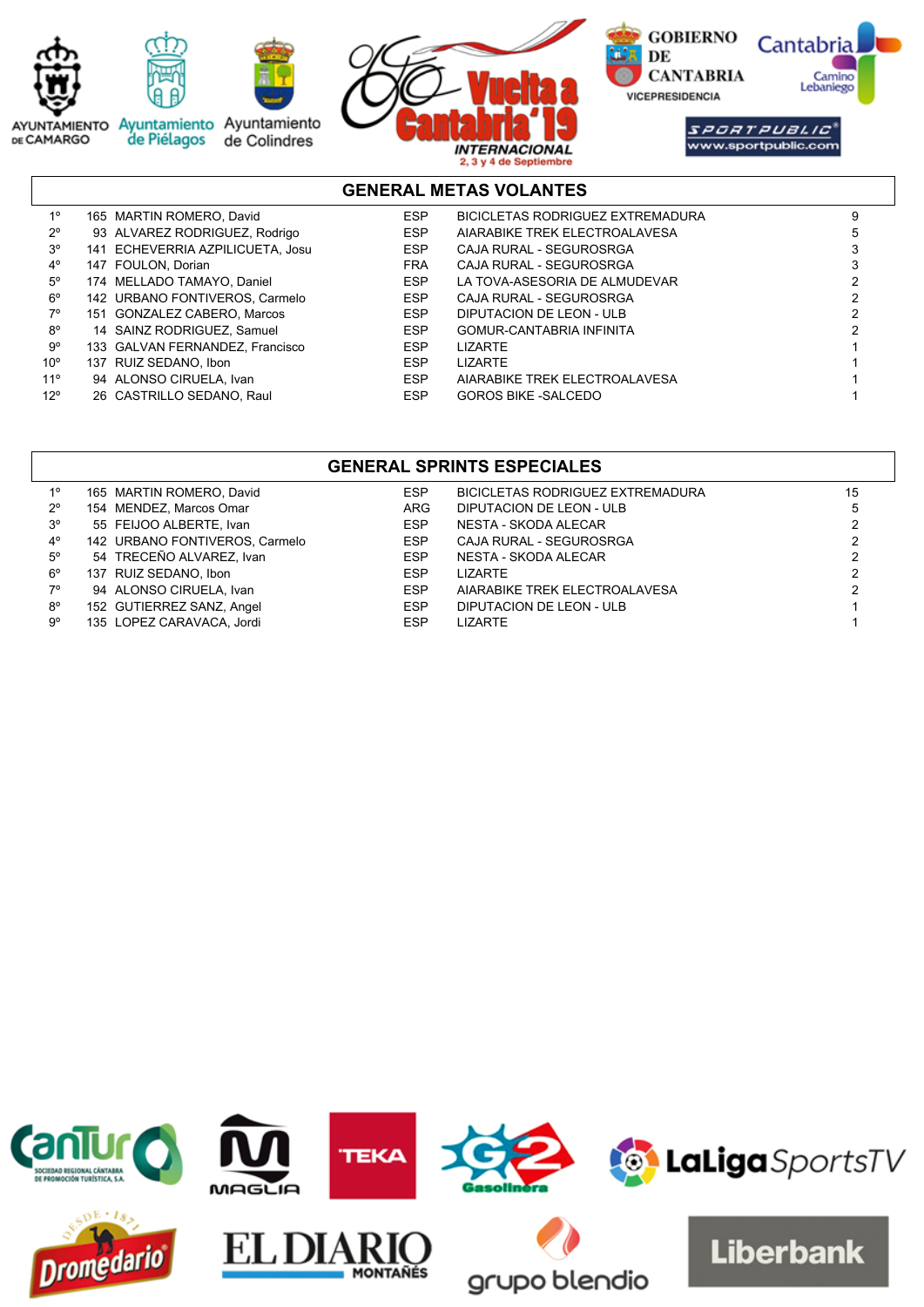

# **GENERAL METAS VOLANTES**

| $1^{\circ}$  | 165 MARTIN ROMERO, David         | <b>ESP</b> | BICICLETAS RODRIGUEZ EXTREMADURA |  |
|--------------|----------------------------------|------------|----------------------------------|--|
| $2^{\circ}$  | 93 ALVAREZ RODRIGUEZ, Rodrigo    | ESP        | AIARABIKE TREK ELECTROALAVESA    |  |
| $3^{\circ}$  | 141 ECHEVERRIA AZPILICUETA, Josu | ESP        | CAJA RURAL - SEGUROSRGA          |  |
| 4°           | 147 FOULON, Dorian               | <b>FRA</b> | CAJA RURAL - SEGUROSRGA          |  |
| $5^{\circ}$  | 174 MELLADO TAMAYO, Daniel       | <b>ESP</b> | LA TOVA-ASESORIA DE ALMUDEVAR    |  |
| $6^{\circ}$  | 142 URBANO FONTIVEROS, Carmelo   | <b>ESP</b> | CAJA RURAL - SEGUROSRGA          |  |
| 7°           | 151 GONZALEZ CABERO, Marcos      | <b>ESP</b> | DIPUTACION DE LEON - ULB         |  |
| $8^{\circ}$  | 14 SAINZ RODRIGUEZ, Samuel       | <b>ESP</b> | GOMUR-CANTABRIA INFINITA         |  |
| 9°           | 133 GALVAN FERNANDEZ, Francisco  | <b>ESP</b> | <b>LIZARTE</b>                   |  |
| $10^{\circ}$ | 137 RUIZ SEDANO, Ibon            | <b>ESP</b> | <b>LIZARTE</b>                   |  |
| $11^{\circ}$ | 94 ALONSO CIRUELA, Ivan          | <b>ESP</b> | AIARABIKE TREK ELECTROALAVESA    |  |
| $12^{\circ}$ | 26 CASTRILLO SEDANO, Raul        | <b>ESP</b> | <b>GOROS BIKE -SALCEDO</b>       |  |

## **GENERAL SPRINTS ESPECIALES**

| 10          | 165 MARTIN ROMERO, David       | <b>ESP</b> | <b>BICICLETAS RODRIGUEZ EXTREMADURA</b> | 15 |
|-------------|--------------------------------|------------|-----------------------------------------|----|
| $2^{\circ}$ | 154 MENDEZ, Marcos Omar        | <b>ARG</b> | DIPUTACION DE LEON - ULB                |    |
| $3^{\circ}$ | 55 FEIJOO ALBERTE, Ivan        | <b>ESP</b> | NESTA - SKODA ALECAR                    |    |
| $4^{\circ}$ | 142 URBANO FONTIVEROS, Carmelo | <b>ESP</b> | CAJA RURAL - SEGUROSRGA                 |    |
| $5^{\circ}$ | 54 TRECEÑO ALVAREZ, Ivan       | <b>ESP</b> | NESTA - SKODA ALECAR                    |    |
| $6^{\circ}$ | 137 RUIZ SEDANO, Ibon          | <b>ESP</b> | LIZARTE                                 |    |
| 70          | 94 ALONSO CIRUELA, Ivan        | <b>ESP</b> | AIARABIKE TREK ELECTROALAVESA           |    |
| $8^{\circ}$ | 152 GUTIERREZ SANZ, Angel      | <b>ESP</b> | DIPUTACION DE LEON - ULB                |    |
| $9^{\circ}$ | 135 LOPEZ CARAVACA, Jordi      | <b>ESP</b> | <b>LIZARTE</b>                          |    |

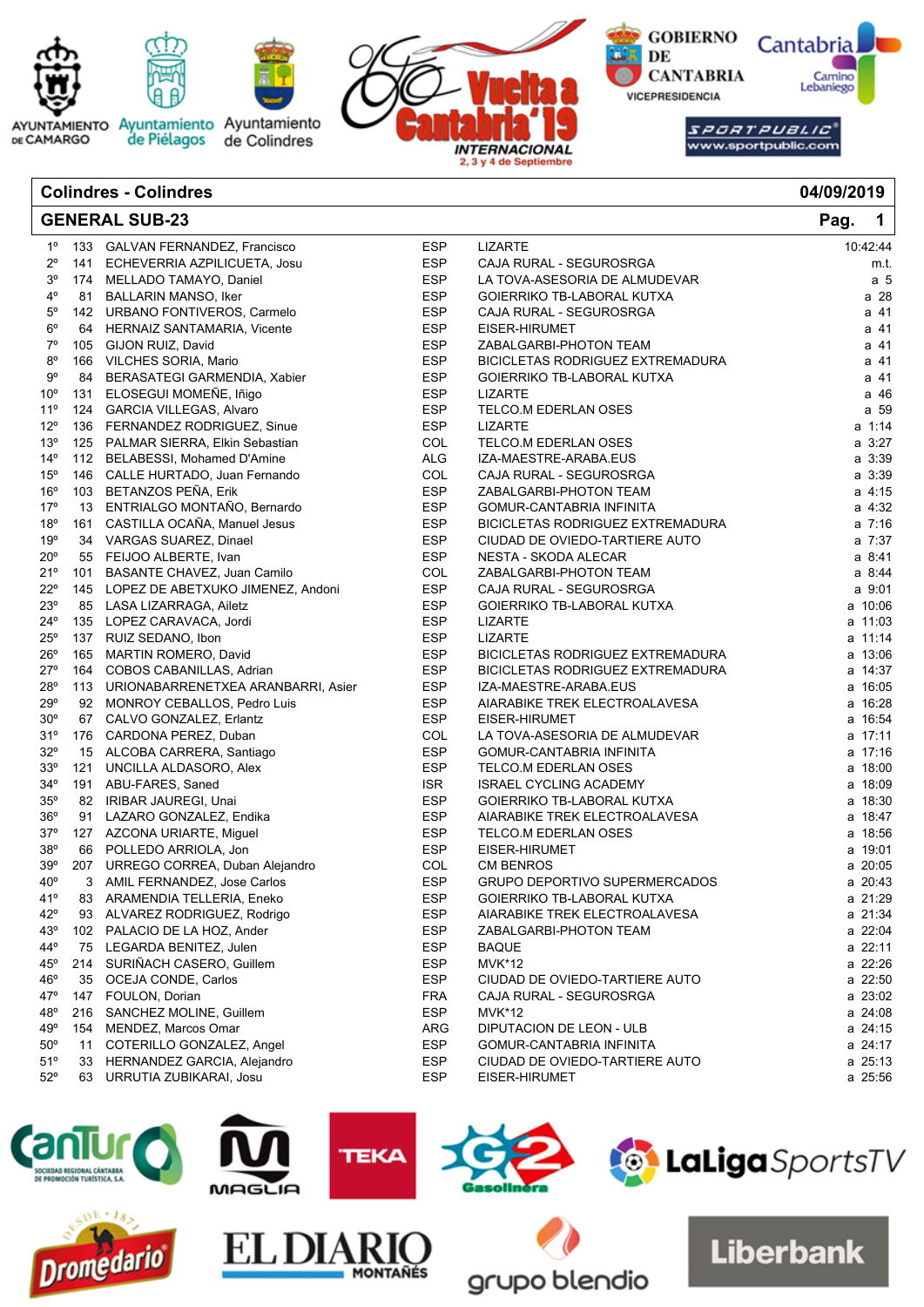

| 04/09/2019 |  |  |
|------------|--|--|
|            |  |  |

|                 | <b>GENERAL SUB-23</b>                  |            |                                         | Pag.<br>$\mathbf 1$ |
|-----------------|----------------------------------------|------------|-----------------------------------------|---------------------|
| $1^{\circ}$     | 133 GALVAN FERNANDEZ, Francisco        | <b>ESP</b> | <b>LIZARTE</b>                          | 10:42:44            |
| $2^{\circ}$     | 141 ECHEVERRIA AZPILICUETA, Josu       | <b>ESP</b> | CAJA RURAL - SEGUROSRGA                 | m.t.                |
| $3^{\circ}$     | 174 MELLADO TAMAYO, Daniel             | <b>ESP</b> | LA TOVA-ASESORIA DE ALMUDEVAR           | a <sub>5</sub>      |
| $4^{\circ}$     | 81 BALLARIN MANSO, Iker                | ESP        | GOIERRIKO TB-LABORAL KUTXA              | a 28                |
| $5^{\circ}$     | 142 URBANO FONTIVEROS, Carmelo         | <b>ESP</b> | CAJA RURAL - SEGUROSRGA                 | a 41                |
| $6^{\rm o}$     | 64 HERNAIZ SANTAMARIA, Vicente         | <b>ESP</b> | EISER-HIRUMET                           | a 41                |
| $7^\circ$       | 105 GIJON RUIZ, David                  | <b>ESP</b> | ZABALGARBI-PHOTON TEAM                  | a 41                |
| $8^{\circ}$     | 166 VILCHES SORIA, Mario               | ESP        | BICICLETAS RODRIGUEZ EXTREMADURA        | a 41                |
| $9^{\circ}$     | 84 BERASATEGI GARMENDIA, Xabier        | <b>ESP</b> | GOIERRIKO TB-LABORAL KUTXA              | a 41                |
| 10 <sup>o</sup> | 131 ELOSEGUI MOMEÑE, Iñigo             | <b>ESP</b> | <b>LIZARTE</b>                          | a 46                |
| 11°             | 124 GARCIA VILLEGAS, Alvaro            | <b>ESP</b> | TELCO.M EDERLAN OSES                    | a 59                |
| $12^{\circ}$    | 136 FERNANDEZ RODRIGUEZ, Sinue         | <b>ESP</b> | <b>LIZARTE</b>                          | a 1:14              |
| 13°             | 125 PALMAR SIERRA, Elkin Sebastian     | COL        | TELCO.M EDERLAN OSES                    | a 3:27              |
| $14^{\circ}$    | 112 BELABESSI, Mohamed D'Amine         | <b>ALG</b> | IZA-MAESTRE-ARABA.EUS                   | a 3:39              |
| 15°             | 146 CALLE HURTADO, Juan Fernando       | COL        | CAJA RURAL - SEGUROSRGA                 | a 3:39              |
| 16°             | 103 BETANZOS PEÑA, Erik                | <b>ESP</b> | ZABALGARBI-PHOTON TEAM                  | a 4:15              |
| 17°             | 13 ENTRIALGO MONTAÑO, Bernardo         | <b>ESP</b> | GOMUR-CANTABRIA INFINITA                | a 4:32              |
| 18°             | 161 CASTILLA OCAÑA, Manuel Jesus       | <b>ESP</b> | BICICLETAS RODRIGUEZ EXTREMADURA        | $a \t7:16$          |
| 19°             | 34 VARGAS SUAREZ, Dinael               | <b>ESP</b> | CIUDAD DE OVIEDO-TARTIERE AUTO          | a 7:37              |
| $20^{\circ}$    | 55 FEIJOO ALBERTE, Ivan                | <b>ESP</b> | NESTA - SKODA ALECAR                    | a 8:41              |
| 21°             | 101 BASANTE CHAVEZ, Juan Camilo        | COL        | ZABALGARBI-PHOTON TEAM                  | a 8:44              |
| $22^{\circ}$    | 145 LOPEZ DE ABETXUKO JIMENEZ, Andoni  | <b>ESP</b> | CAJA RURAL - SEGUROSRGA                 | a 9:01              |
| $23^{\circ}$    | 85 LASA LIZARRAGA, Ailetz              | <b>ESP</b> | GOIERRIKO TB-LABORAL KUTXA              | a 10:06             |
| 24°             | 135 LOPEZ CARAVACA, Jordi              | <b>ESP</b> | <b>LIZARTE</b>                          | a 11:03             |
| $25^{\circ}$    | 137 RUIZ SEDANO, Ibon                  | <b>ESP</b> | <b>LIZARTE</b>                          | a 11:14             |
| 26°             | 165 MARTIN ROMERO, David               | <b>ESP</b> | <b>BICICLETAS RODRIGUEZ EXTREMADURA</b> | a 13:06             |
| $27^{\circ}$    | 164 COBOS CABANILLAS, Adrian           | <b>ESP</b> | BICICLETAS RODRIGUEZ EXTREMADURA        | a 14:37             |
| 28°             | 113 URIONABARRENETXEA ARANBARRI, Asier | <b>ESP</b> | IZA-MAESTRE-ARABA.EUS                   | a 16:05             |
| 29°             | 92 MONROY CEBALLOS, Pedro Luis         | <b>ESP</b> | AIARABIKE TREK ELECTROALAVESA           | a 16:28             |
| $30^\circ$      | 67 CALVO GONZALEZ, Erlantz             | <b>ESP</b> | EISER-HIRUMET                           | a 16:54             |
| 31°             | 176 CARDONA PEREZ, Duban               | COL        | LA TOVA-ASESORIA DE ALMUDEVAR           | a 17:11             |
| $32^{\circ}$    | 15 ALCOBA CARRERA, Santiago            | <b>ESP</b> | GOMUR-CANTABRIA INFINITA                | a 17:16             |
| 33°             | 121 UNCILLA ALDASORO, Alex             | <b>ESP</b> | TELCO.M EDERLAN OSES                    | a 18:00             |
| $34^{\circ}$    | 191 ABU-FARES, Saned                   | <b>ISR</b> | <b>ISRAEL CYCLING ACADEMY</b>           | a 18:09             |
| 35°             | 82 IRIBAR JAUREGI, Unai                | <b>ESP</b> | GOIERRIKO TB-LABORAL KUTXA              | a 18:30             |
| 36°             | 91 LAZARO GONZALEZ, Endika             | <b>ESP</b> | AIARABIKE TREK ELECTROALAVESA           | a 18:47             |
| $37^\circ$      | 127 AZCONA URIARTE, Miguel             | <b>ESP</b> | TELCO.M EDERLAN OSES                    | a 18:56             |
| 38°             | 66 POLLEDO ARRIOLA, Jon                | <b>ESP</b> | EISER-HIRUMET                           | a 19:01             |
| 39°             | 207 URREGO CORREA, Duban Alejandro     | COL        | <b>CM BENROS</b>                        | a 20:05             |
| $40^{\circ}$    | 3 AMIL FERNANDEZ, Jose Carlos          | <b>ESP</b> | <b>GRUPO DEPORTIVO SUPERMERCADOS</b>    | a 20:43             |
| 41°             | 83 ARAMENDIA TELLERIA, Eneko           | <b>ESP</b> | GOIERRIKO TB-LABORAL KUTXA              | a 21:29             |
| $42^{\circ}$    | 93 ALVAREZ RODRIGUEZ, Rodrigo          | <b>ESP</b> | AIARABIKE TREK ELECTROALAVESA           | a 21:34             |
| 43°             | 102 PALACIO DE LA HOZ, Ander           | <b>ESP</b> | ZABALGARBI-PHOTON TEAM                  | a 22:04             |
| 44°             | 75 LEGARDA BENITEZ, Julen              | <b>ESP</b> | <b>BAQUE</b>                            | a 22:11             |
| 45°             | 214 SURIÑACH CASERO, Guillem           | <b>ESP</b> | <b>MVK*12</b>                           | a 22:26             |
| 46°             | 35 OCEJA CONDE, Carlos                 | <b>ESP</b> | CIUDAD DE OVIEDO-TARTIERE AUTO          | a 22:50             |
| 47°             | 147 FOULON, Dorian                     | <b>FRA</b> | CAJA RURAL - SEGUROSRGA                 | a 23:02             |
| 48°             | 216 SANCHEZ MOLINE, Guillem            | <b>ESP</b> | <b>MVK*12</b>                           | a 24:08             |
| 49°             | 154 MENDEZ, Marcos Omar                | ARG        | DIPUTACION DE LEON - ULB                | a 24:15             |
| $50^\circ$      | 11 COTERILLO GONZALEZ, Angel           | <b>ESP</b> | GOMUR-CANTABRIA INFINITA                | a 24:17             |
| 51°             | 33 HERNANDEZ GARCIA, Alejandro         | <b>ESP</b> | CIUDAD DE OVIEDO-TARTIERE AUTO          | a 25:13             |
| $52^{\circ}$    | 63 URRUTIA ZUBIKARAI, Josu             | <b>ESP</b> | EISER-HIRUMET                           | a 25:56             |

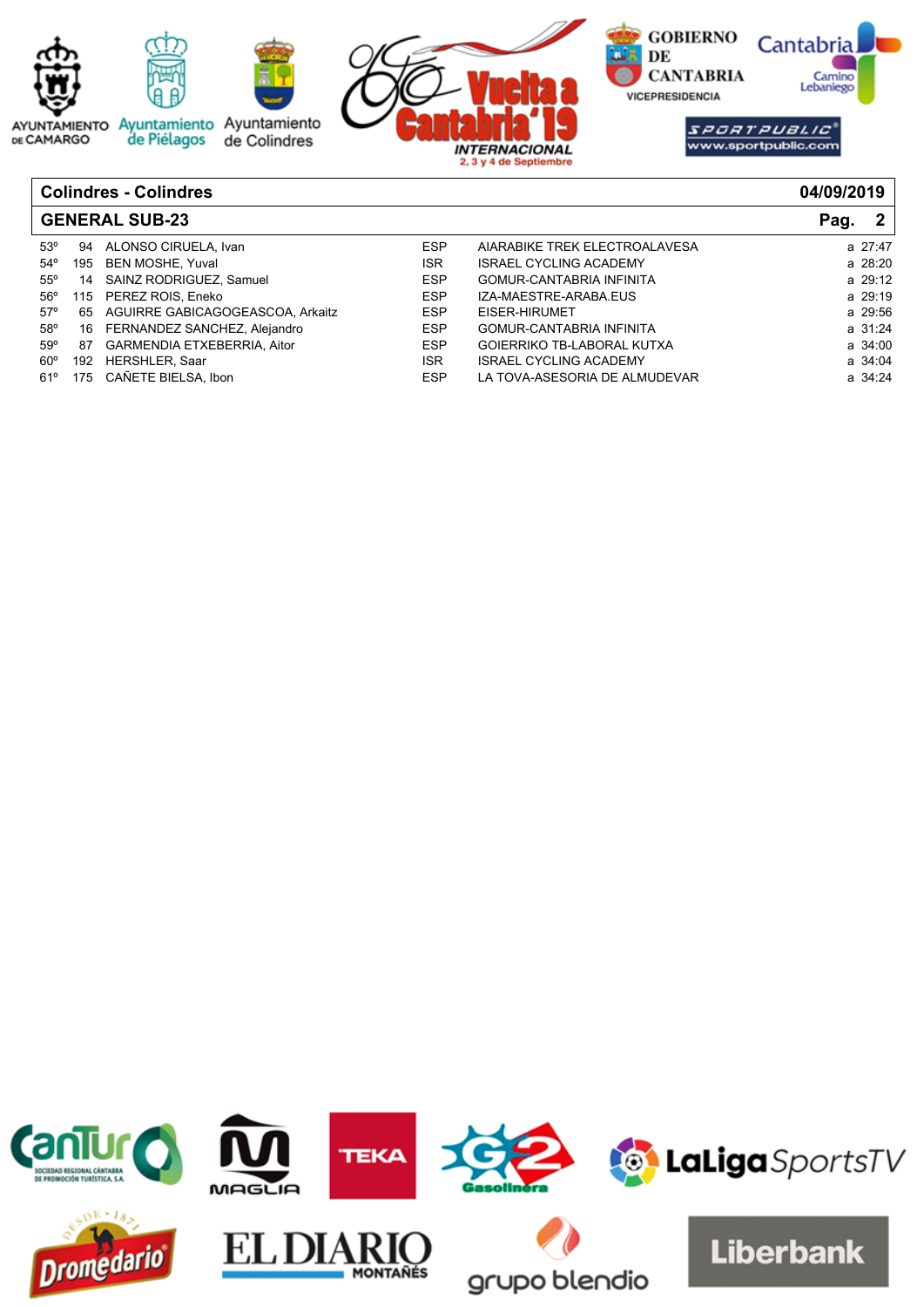

| <b>GENERAL SUB-23</b> | 2 <sup>1</sup><br>Pag. |                                     |            |                                 |         |
|-----------------------|------------------------|-------------------------------------|------------|---------------------------------|---------|
| $53^\circ$            | 94                     | ALONSO CIRUELA, Ivan                | <b>ESP</b> | AIARABIKE TREK ELECTROALAVESA   | a 27:47 |
| $54^\circ$            |                        | 195 BEN MOSHE, Yuval                | <b>ISR</b> | <b>ISRAEL CYCLING ACADEMY</b>   | a 28:20 |
| $55^{\circ}$          |                        | 14 SAINZ RODRIGUEZ, Samuel          | <b>ESP</b> | GOMUR-CANTABRIA INFINITA        | a 29:12 |
| $56^{\circ}$          |                        | 115 PEREZ ROIS, Eneko               | <b>ESP</b> | IZA-MAESTRE-ARABA.EUS           | a 29:19 |
| $57^\circ$            |                        | 65 AGUIRRE GABICAGOGEASCOA, Arkaitz | <b>ESP</b> | EISER-HIRUMET                   | a 29:56 |
| 58°                   |                        | 16 FERNANDEZ SANCHEZ, Alejandro     | <b>ESP</b> | <b>GOMUR-CANTABRIA INFINITA</b> | a 31:24 |
| 59°                   | 87                     | GARMENDIA ETXEBERRIA, Aitor         | <b>ESP</b> | GOIERRIKO TB-LABORAL KUTXA      | a 34:00 |
| $60^{\circ}$          | 192                    | HERSHLER, Saar                      | <b>ISR</b> | <b>ISRAEL CYCLING ACADEMY</b>   | a 34:04 |
| 61°                   |                        | 175 CAÑETE BIELSA. Ibon             | <b>ESP</b> | LA TOVA-ASESORIA DE ALMUDEVAR   | a 34:24 |